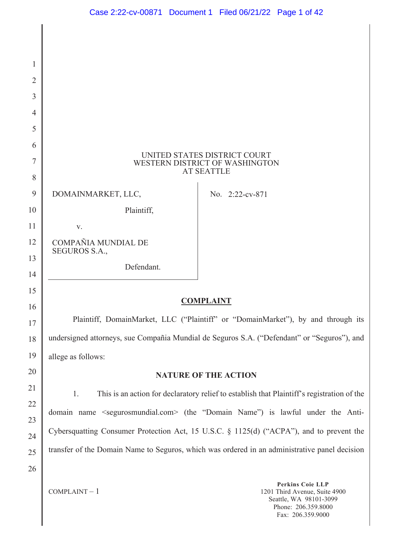| 1              |                                      |                                                                                                     |
|----------------|--------------------------------------|-----------------------------------------------------------------------------------------------------|
| $\overline{2}$ |                                      |                                                                                                     |
| 3              |                                      |                                                                                                     |
| 4              |                                      |                                                                                                     |
| 5              |                                      |                                                                                                     |
| 6              |                                      | UNITED STATES DISTRICT COURT                                                                        |
| $\tau$         |                                      | WESTERN DISTRICT OF WASHINGTON<br><b>AT SEATTLE</b>                                                 |
| 8              |                                      |                                                                                                     |
| 9              | DOMAINMARKET, LLC,                   | No. 2:22-cv-871                                                                                     |
| 10             | Plaintiff,                           |                                                                                                     |
| 11             | V.                                   |                                                                                                     |
| 12             | COMPAÑIA MUNDIAL DE<br>SEGUROS S.A., |                                                                                                     |
| 13<br>14       | Defendant.                           |                                                                                                     |
| 15             |                                      |                                                                                                     |
| 16             |                                      | <b>COMPLAINT</b>                                                                                    |
| 17             |                                      | Plaintiff, DomainMarket, LLC ("Plaintiff" or "DomainMarket"), by and through its                    |
| 18             |                                      | undersigned attorneys, sue Compañia Mundial de Seguros S.A. ("Defendant" or "Seguros"), and         |
| 19             | allege as follows:                   |                                                                                                     |
| 20             |                                      | <b>NATURE OF THE ACTION</b>                                                                         |
| 21             | 1.                                   | This is an action for declaratory relief to establish that Plaintiff's registration of the          |
| 22             |                                      | domain name <segurosmundial.com> (the "Domain Name") is lawful under the Anti-</segurosmundial.com> |
| 23             |                                      | Cybersquatting Consumer Protection Act, 15 U.S.C. § 1125(d) ("ACPA"), and to prevent the            |
| 24             |                                      | transfer of the Domain Name to Seguros, which was ordered in an administrative panel decision       |
| 25             |                                      |                                                                                                     |
| 26             |                                      |                                                                                                     |
|                | $COMPLANT - 1$                       | <b>Perkins Coie LLP</b><br>1201 Third Avenue, Suite 4900                                            |

1201 Third Avenue, Suite 4900 Seattle, WA 98101-3099 Phone: 206.359.8000 Fax: 206.359.9000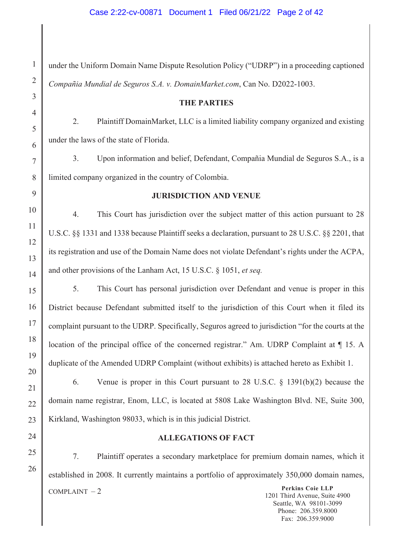2 4 5 6 8 9 10 11 12 13 14 15 16 17 18 19 20 21 22 23 24 under the Uniform Domain Name Dispute Resolution Policy ("UDRP") in a proceeding captioned *Compañia Mundial de Seguros S.A. v. DomainMarket.com*, Can No. D2022-1003. **THE PARTIES**  2. Plaintiff DomainMarket, LLC is a limited liability company organized and existing under the laws of the state of Florida. 3. Upon information and belief, Defendant, Compañia Mundial de Seguros S.A., is a limited company organized in the country of Colombia. **JURISDICTION AND VENUE**  4. This Court has jurisdiction over the subject matter of this action pursuant to 28 U.S.C. §§ 1331 and 1338 because Plaintiff seeks a declaration, pursuant to 28 U.S.C. §§ 2201, that its registration and use of the Domain Name does not violate Defendant's rights under the ACPA, and other provisions of the Lanham Act, 15 U.S.C. § 1051, *et seq.* 5. This Court has personal jurisdiction over Defendant and venue is proper in this District because Defendant submitted itself to the jurisdiction of this Court when it filed its complaint pursuant to the UDRP. Specifically, Seguros agreed to jurisdiction "for the courts at the location of the principal office of the concerned registrar." Am. UDRP Complaint at ¶ 15. A duplicate of the Amended UDRP Complaint (without exhibits) is attached hereto as Exhibit 1. 6. Venue is proper in this Court pursuant to 28 U.S.C. § 1391(b)(2) because the domain name registrar, Enom, LLC, is located at 5808 Lake Washington Blvd. NE, Suite 300, Kirkland, Washington 98033, which is in this judicial District. **ALLEGATIONS OF FACT** 

7. Plaintiff operates a secondary marketplace for premium domain names, which it established in 2008. It currently maintains a portfolio of approximately 350,000 domain names,

25

26

1

3

7

COMPLAINT – 2 **Perkins Coie LLP**  1201 Third Avenue, Suite 4900 Seattle, WA 98101-3099 Phone: 206.359.8000 Fax: 206.359.9000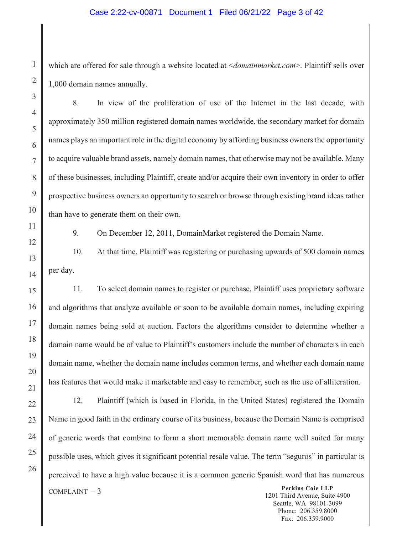## Case 2:22-cv-00871 Document 1 Filed 06/21/22 Page 3 of 42

which are offered for sale through a website located at <*domainmarket.com*>. Plaintiff sells over 1,000 domain names annually.

8. In view of the proliferation of use of the Internet in the last decade, with approximately 350 million registered domain names worldwide, the secondary market for domain names plays an important role in the digital economy by affording business owners the opportunity to acquire valuable brand assets, namely domain names, that otherwise may not be available. Many of these businesses, including Plaintiff, create and/or acquire their own inventory in order to offer prospective business owners an opportunity to search or browse through existing brand ideas rather than have to generate them on their own.

1

2

3

4

5

6

7

8

9

10

11

12

13

14

15

16

17

18

19

20

21

22

23

24

25

26

9. On December 12, 2011, DomainMarket registered the Domain Name.

10. At that time, Plaintiff was registering or purchasing upwards of 500 domain names per day.

11. To select domain names to register or purchase, Plaintiff uses proprietary software and algorithms that analyze available or soon to be available domain names, including expiring domain names being sold at auction. Factors the algorithms consider to determine whether a domain name would be of value to Plaintiff's customers include the number of characters in each domain name, whether the domain name includes common terms, and whether each domain name has features that would make it marketable and easy to remember, such as the use of alliteration.

12. Plaintiff (which is based in Florida, in the United States) registered the Domain Name in good faith in the ordinary course of its business, because the Domain Name is comprised of generic words that combine to form a short memorable domain name well suited for many possible uses, which gives it significant potential resale value. The term "seguros" in particular is perceived to have a high value because it is a common generic Spanish word that has numerous

COMPLAINT – 3 **Perkins Coie LLP**  1201 Third Avenue, Suite 4900 Seattle, WA 98101-3099 Phone: 206.359.8000 Fax: 206.359.9000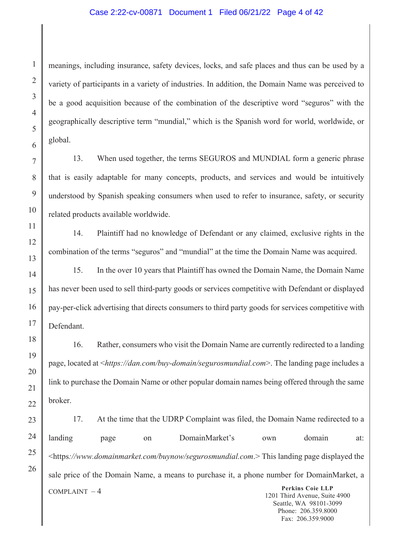## Case 2:22-cv-00871 Document 1 Filed 06/21/22 Page 4 of 42

meanings, including insurance, safety devices, locks, and safe places and thus can be used by a variety of participants in a variety of industries. In addition, the Domain Name was perceived to be a good acquisition because of the combination of the descriptive word "seguros" with the geographically descriptive term "mundial," which is the Spanish word for world, worldwide, or global.

13. When used together, the terms SEGUROS and MUNDIAL form a generic phrase that is easily adaptable for many concepts, products, and services and would be intuitively understood by Spanish speaking consumers when used to refer to insurance, safety, or security related products available worldwide.

14. Plaintiff had no knowledge of Defendant or any claimed, exclusive rights in the combination of the terms "seguros" and "mundial" at the time the Domain Name was acquired.

15. In the over 10 years that Plaintiff has owned the Domain Name, the Domain Name has never been used to sell third-party goods or services competitive with Defendant or displayed pay-per-click advertising that directs consumers to third party goods for services competitive with Defendant.

16. Rather, consumers who visit the Domain Name are currently redirected to a landing page, located at <*https://dan.com/buy-domain/segurosmundial.com*>. The landing page includes a link to purchase the Domain Name or other popular domain names being offered through the same broker.

COMPLAINT – 4 **Perkins Coie LLP**  1201 Third Avenue, Suite 4900 Seattle, WA 98101-3099 17. At the time that the UDRP Complaint was filed, the Domain Name redirected to a landing page on DomainMarket's own domain at: <https*://www.domainmarket.com/buynow/segurosmundial.com*.> This landing page displayed the sale price of the Domain Name, a means to purchase it, a phone number for DomainMarket, a

> Phone: 206.359.8000 Fax: 206.359.9000

1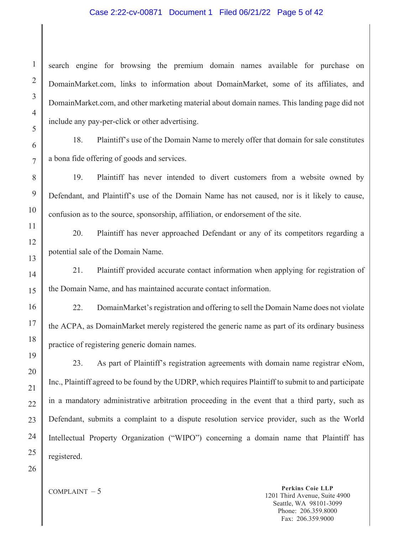## Case 2:22-cv-00871 Document 1 Filed 06/21/22 Page 5 of 42

search engine for browsing the premium domain names available for purchase on DomainMarket.com, links to information about DomainMarket, some of its affiliates, and DomainMarket.com, and other marketing material about domain names. This landing page did not include any pay-per-click or other advertising.

18. Plaintiff's use of the Domain Name to merely offer that domain for sale constitutes a bona fide offering of goods and services.

19. Plaintiff has never intended to divert customers from a website owned by Defendant, and Plaintiff's use of the Domain Name has not caused, nor is it likely to cause, confusion as to the source, sponsorship, affiliation, or endorsement of the site.

20. Plaintiff has never approached Defendant or any of its competitors regarding a potential sale of the Domain Name.

21. Plaintiff provided accurate contact information when applying for registration of the Domain Name, and has maintained accurate contact information.

22. DomainMarket's registration and offering to sell the Domain Name does not violate the ACPA, as DomainMarket merely registered the generic name as part of its ordinary business practice of registering generic domain names.

23. As part of Plaintiff's registration agreements with domain name registrar eNom, Inc., Plaintiff agreed to be found by the UDRP, which requires Plaintiff to submit to and participate in a mandatory administrative arbitration proceeding in the event that a third party, such as Defendant, submits a complaint to a dispute resolution service provider, such as the World Intellectual Property Organization ("WIPO") concerning a domain name that Plaintiff has registered.

26

1

2

3

4

5

6

7

8

9

10

11

12

13

14

15

16

17

18

19

20

21

22

23

24

25

COMPLAINT – 5 **Perkins Coie LLP**  1201 Third Avenue, Suite 4900 Seattle, WA 98101-3099 Phone: 206.359.8000 Fax: 206.359.9000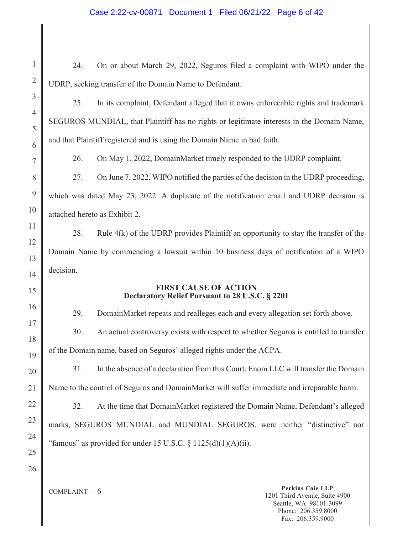# Case 2:22-cv-00871 Document 1 Filed 06/21/22 Page 6 of 42

| $\mathbf{1}$        | 24.            | On or about March 29, 2022, Seguros filed a complaint with WIPO under the                   |                                                                                                           |
|---------------------|----------------|---------------------------------------------------------------------------------------------|-----------------------------------------------------------------------------------------------------------|
| $\overline{2}$      |                | UDRP, seeking transfer of the Domain Name to Defendant.                                     |                                                                                                           |
| 3                   | 25.            | In its complaint, Defendant alleged that it owns enforceable rights and trademark           |                                                                                                           |
| $\overline{4}$<br>5 |                | SEGUROS MUNDIAL, that Plaintiff has no rights or legitimate interests in the Domain Name,   |                                                                                                           |
| 6                   |                | and that Plaintiff registered and is using the Domain Name in bad faith.                    |                                                                                                           |
| 7                   | 26.            | On May 1, 2022, DomainMarket timely responded to the UDRP complaint.                        |                                                                                                           |
| 8                   | 27.            | On June 7, 2022, WIPO notified the parties of the decision in the UDRP proceeding,          |                                                                                                           |
| 9                   |                | which was dated May 23, 2022. A duplicate of the notification email and UDRP decision is    |                                                                                                           |
| 10                  |                | attached hereto as Exhibit 2.                                                               |                                                                                                           |
| 11                  | 28.            | Rule $4(k)$ of the UDRP provides Plaintiff an opportunity to stay the transfer of the       |                                                                                                           |
| 12                  |                | Domain Name by commencing a lawsuit within 10 business days of notification of a WIPO       |                                                                                                           |
| 13                  | decision.      |                                                                                             |                                                                                                           |
| 14<br>15            |                | <b>FIRST CAUSE OF ACTION</b>                                                                |                                                                                                           |
|                     |                | Declaratory Relief Pursuant to 28 U.S.C. § 2201                                             |                                                                                                           |
| 16<br>17            | 29.            | DomainMarket repeats and realleges each and every allegation set forth above.               |                                                                                                           |
| 18                  | 30.            | An actual controversy exists with respect to whether Seguros is entitled to transfer        |                                                                                                           |
| 19                  |                | of the Domain name, based on Seguros' alleged rights under the ACPA.                        |                                                                                                           |
| 20                  | 31.            | In the absence of a declaration from this Court, Enom LLC will transfer the Domain          |                                                                                                           |
| 21                  |                | Name to the control of Seguros and DomainMarket will suffer immediate and irreparable harm. |                                                                                                           |
| 22                  | 32.            | At the time that DomainMarket registered the Domain Name, Defendant's alleged               |                                                                                                           |
| 23                  |                | marks, SEGUROS MUNDIAL and MUNDIAL SEGUROS, were neither "distinctive" nor                  |                                                                                                           |
| 24                  |                | "famous" as provided for under 15 U.S.C. § $1125(d)(1)(A)(ii)$ .                            |                                                                                                           |
| 25                  |                |                                                                                             |                                                                                                           |
| 26                  |                |                                                                                             |                                                                                                           |
|                     | COMPLAINT $-6$ |                                                                                             | <b>Perkins Coie LLP</b><br>1201 Third Avenue, Suite 4900<br>Seattle, WA 98101-3099<br>Phone: 206.359.8000 |

 $\Big\|$ 

Fax: 206.359.9000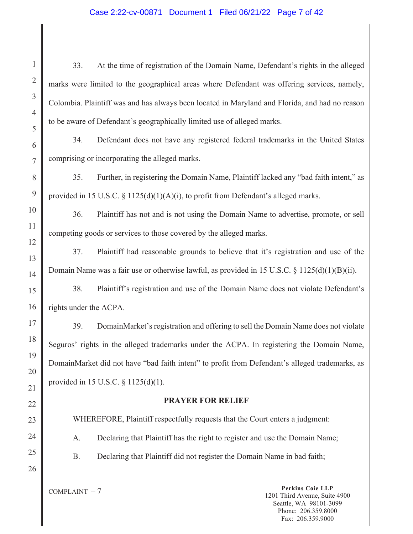## Case 2:22-cv-00871 Document 1 Filed 06/21/22 Page 7 of 42

33. At the time of registration of the Domain Name, Defendant's rights in the alleged marks were limited to the geographical areas where Defendant was offering services, namely, Colombia. Plaintiff was and has always been located in Maryland and Florida, and had no reason to be aware of Defendant's geographically limited use of alleged marks.

34. Defendant does not have any registered federal trademarks in the United States comprising or incorporating the alleged marks.

35. Further, in registering the Domain Name, Plaintiff lacked any "bad faith intent," as provided in 15 U.S.C. § 1125(d)(1)(A)(i), to profit from Defendant's alleged marks.

36. Plaintiff has not and is not using the Domain Name to advertise, promote, or sell competing goods or services to those covered by the alleged marks.

37. Plaintiff had reasonable grounds to believe that it's registration and use of the Domain Name was a fair use or otherwise lawful, as provided in 15 U.S.C. § 1125(d)(1)(B)(ii).

15 16 38. Plaintiff's registration and use of the Domain Name does not violate Defendant's rights under the ACPA.

39. DomainMarket's registration and offering to sell the Domain Name does not violate Seguros' rights in the alleged trademarks under the ACPA. In registering the Domain Name, DomainMarket did not have "bad faith intent" to profit from Defendant's alleged trademarks, as provided in 15 U.S.C. § 1125(d)(1).

## **PRAYER FOR RELIEF**

WHEREFORE, Plaintiff respectfully requests that the Court enters a judgment:

A. Declaring that Plaintiff has the right to register and use the Domain Name;

B. Declaring that Plaintiff did not register the Domain Name in bad faith;

26

1

2

3

4

5

6

7

8

9

10

11

12

13

14

17

18

19

20

21

22

23

24

25

COMPLAINT – 7 **Perkins Coie LLP** 1201 Third Avenue, Suite 4900 Seattle, WA 98101-3099 Phone: 206.359.8000 Fax: 206.359.9000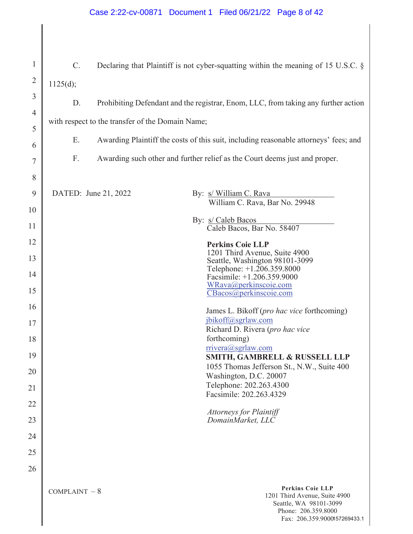# Case 2:22-cv-00871 Document 1 Filed 06/21/22 Page 8 of 42

| $\mathbf{1}$   | $\mathbf{C}$ . |                      | Declaring that Plaintiff is not cyber-squatting within the meaning of 15 U.S.C. §                         |
|----------------|----------------|----------------------|-----------------------------------------------------------------------------------------------------------|
| $\overline{2}$ | 1125(d);       |                      |                                                                                                           |
| 3              | D.             |                      | Prohibiting Defendant and the registrar, Enom, LLC, from taking any further action                        |
| $\overline{4}$ |                |                      | with respect to the transfer of the Domain Name;                                                          |
| 5              |                |                      |                                                                                                           |
| 6              | Ε.             |                      | Awarding Plaintiff the costs of this suit, including reasonable attorneys' fees; and                      |
| 7              | F.             |                      | Awarding such other and further relief as the Court deems just and proper.                                |
| 8              |                |                      |                                                                                                           |
| 9              |                | DATED: June 21, 2022 | By: s/ William C. Rava<br>William C. Rava, Bar No. 29948                                                  |
| 10             |                |                      | By: s/ Caleb Bacos                                                                                        |
| 11             |                |                      | Caleb Bacos, Bar No. 58407                                                                                |
| 12<br>13       |                |                      | <b>Perkins Coie LLP</b><br>1201 Third Avenue, Suite 4900                                                  |
| 14             |                |                      | Seattle, Washington 98101-3099<br>Telephone: +1.206.359.8000                                              |
| 15             |                |                      | Facsimile: +1.206.359.9000<br>WRava@perkinscoie.com                                                       |
| 16             |                |                      | CBacos@perkinscoie.com                                                                                    |
| 17             |                |                      | James L. Bikoff (pro hac vice forthcoming)<br>jbikoff@sgrlaw.com                                          |
| 18             |                |                      | Richard D. Rivera (pro hac vice<br>forthcoming)                                                           |
| 19             |                |                      | $rrivera(a)$ sgrlaw.com<br>SMITH, GAMBRELL & RUSSELL LLP                                                  |
| 20             |                |                      | 1055 Thomas Jefferson St., N.W., Suite 400                                                                |
| 21             |                |                      | Washington, D.C. 20007<br>Telephone: 202.263.4300                                                         |
| 22             |                |                      | Facsimile: 202.263.4329                                                                                   |
| 23             |                |                      | <b>Attorneys for Plaintiff</b><br>DomainMarket, LLC                                                       |
| 24             |                |                      |                                                                                                           |
| 25             |                |                      |                                                                                                           |
| 26             |                |                      |                                                                                                           |
|                | $COMPLANT - 8$ |                      | <b>Perkins Coie LLP</b><br>1201 Third Avenue, Suite 4900<br>Seattle, WA 98101-3099<br>Phone: 206.359.8000 |

I

Fax: 206.359.9000157269433.1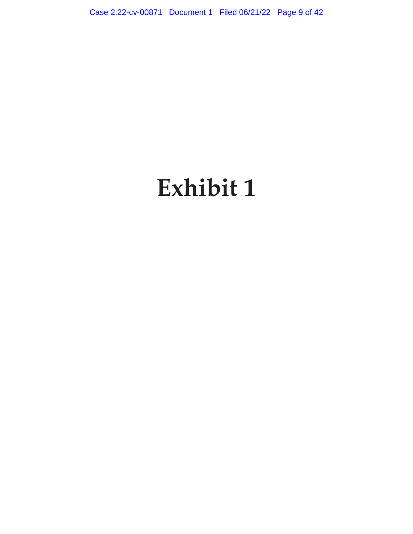Case 2:22-cv-00871 Document 1 Filed 06/21/22 Page 9 of 42

# **Exhibit 1**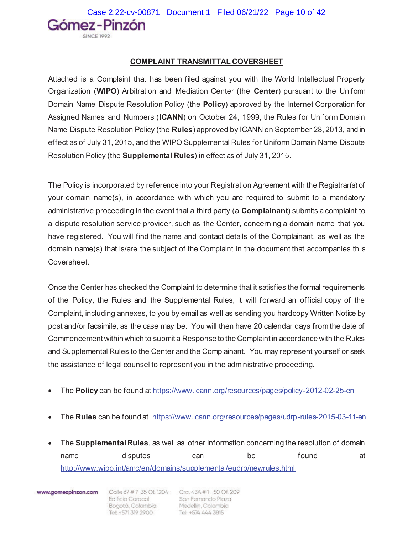Gómez-Pinzón

## **COMPLAINT TRANSMITTAL COVERSHEET**

Attached is a Complaint that has been filed against you with the World Intellectual Property Organization (**WIPO**) Arbitration and Mediation Center (the **Center**) pursuant to the Uniform Domain Name Dispute Resolution Policy (the **Policy**) approved by the Internet Corporation for Assigned Names and Numbers (**ICANN**) on October 24, 1999, the Rules for Uniform Domain Name Dispute Resolution Policy (the **Rules**) approved by ICANN on September 28, 2013, and in effect as of July 31, 2015, and the WIPO Supplemental Rules for Uniform Domain Name Dispute Resolution Policy (the **Supplemental Rules**) in effect as of July 31, 2015.

The Policy is incorporated by reference into your Registration Agreement with the Registrar(s) of your domain name(s), in accordance with which you are required to submit to a mandatory administrative proceeding in the event that a third party (a **Complainant**) submits a complaint to a dispute resolution service provider, such as the Center, concerning a domain name that you have registered. You will find the name and contact details of the Complainant, as well as the domain name(s) that is/are the subject of the Complaint in the document that accompanies this Coversheet.

Once the Center has checked the Complaint to determine that it satisfies the formal requirements of the Policy, the Rules and the Supplemental Rules, it will forward an official copy of the Complaint, including annexes, to you by email as well as sending you hardcopy Written Notice by post and/or facsimile, as the case may be. You will then have 20 calendar days from the date of Commencement within which to submit a Response to the Complaint in accordance with the Rules and Supplemental Rules to the Center and the Complainant. You may represent yourself or seek the assistance of legal counsel to represent you in the administrative proceeding.

- x The **Policy** can be found at https://www.icann.org/resources/pages/policy-2012-02-25-en
- The **Rules** can be found at https://www.icann.org/resources/pages/udrp-rules-2015-03-11-en
- x The **Supplemental Rules**, as well as other information concerning the resolution of domain name disputes can be found at http://www.wipo.int/amc/en/domains/supplemental/eudrp/newrules.html

www.gomezpinzon.com

Edincio Caracol<br>Bogotá, Colombia<br>Tel: +571.319.2900 Tel: +571 319 2900

Calle 67 # 7-35 Of. 1204 Cra. 43A # 1-50 Of. 209 Edificio Caracol Son Fernando Plaza Medellin, Colombia Tel: +574 444 3815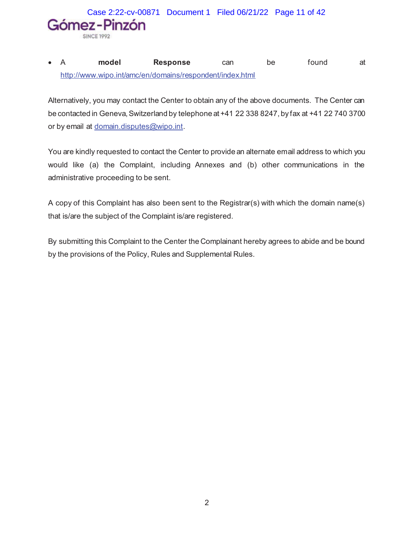Case 2:22-cv-00871 Document 1 Filed 06/21/22 Page 11 of 42Gómez-Pinzón SINCE 1992

## x A **model Response** can be found at http://www.wipo.int/amc/en/domains/respondent/index.html

Alternatively, you may contact the Center to obtain any of the above documents. The Center can be contacted in Geneva, Switzerland by telephone at +41 22 338 8247, by fax at +41 22 740 3700 or by email at domain.disputes@wipo.int.

You are kindly requested to contact the Center to provide an alternate email address to which you would like (a) the Complaint, including Annexes and (b) other communications in the administrative proceeding to be sent.

A copy of this Complaint has also been sent to the Registrar(s) with which the domain name(s) that is/are the subject of the Complaint is/are registered.

By submitting this Complaint to the Center the Complainant hereby agrees to abide and be bound by the provisions of the Policy, Rules and Supplemental Rules.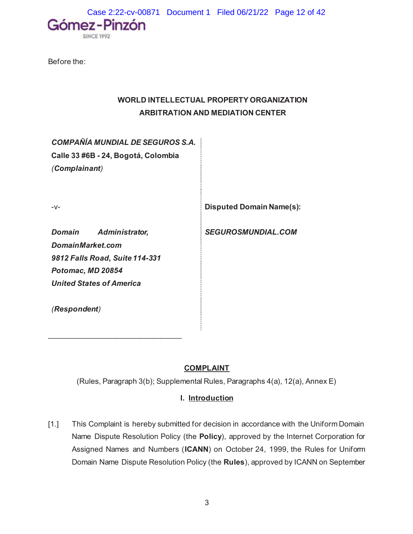Case 2:22-cv-00871 Document 1 Filed 06/21/22 Page 12 of 42



Before the:

## **WORLD INTELLECTUAL PROPERTY ORGANIZATION ARBITRATION AND MEDIATION CENTER**

*COMPAÑÍA MUNDIAL DE SEGUROS S.A.* **Calle 33 #6B - 24, Bogotá, Colombia** *(Complainant)*

-v- **Disputed Domain Name(s):** 

*Domain Administrator, DomainMarket.com 9812 Falls Road, Suite 114-331 Potomac, MD 20854 United States of America*

 $\mathcal{L}_\text{max}$  , where  $\mathcal{L}_\text{max}$  , we have the set of  $\mathcal{L}_\text{max}$ 

*SEGUROSMUNDIAL.COM* 

*(Respondent)*

## **COMPLAINT**

(Rules, Paragraph 3(b); Supplemental Rules, Paragraphs 4(a), 12(a), Annex E)

## **I. Introduction**

[1.] This Complaint is hereby submitted for decision in accordance with the Uniform Domain Name Dispute Resolution Policy (the **Policy**), approved by the Internet Corporation for Assigned Names and Numbers (**ICANN**) on October 24, 1999, the Rules for Uniform Domain Name Dispute Resolution Policy (the **Rules**), approved by ICANN on September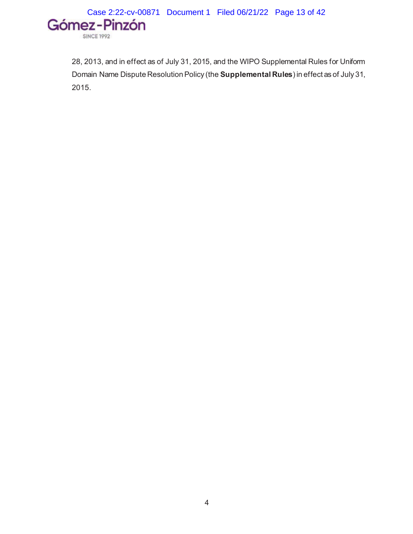

28, 2013, and in effect as of July 31, 2015, and the WIPO Supplemental Rules for Uniform Domain Name Dispute Resolution Policy (the **Supplemental Rules**) in effect as of July 31, 2015.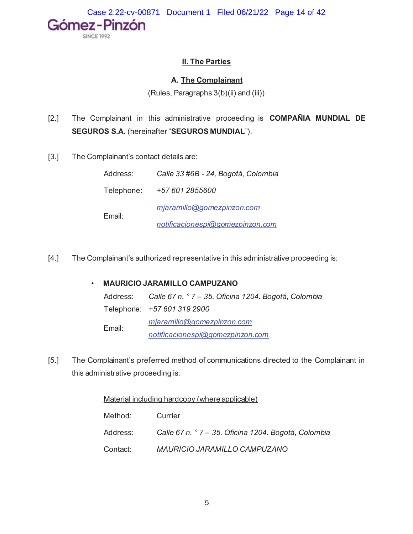Case 2:22-cv-00871 Document 1 Filed 06/21/22 Page 14 of 42



## **II. The Parties**

## **A. The Complainant**

(Rules, Paragraphs 3(b)(ii) and (iii))

- [2.] The Complainant in this administrative proceeding is **COMPAÑIA MUNDIAL DE SEGUROS S.A.** (hereinafter "**SEGUROS MUNDIAL**").
- [3.] The Complainant's contact details are:

| Address:   | Calle 33 #6B - 24, Bogotá, Colombia |  |  |
|------------|-------------------------------------|--|--|
| Telephone: | +57 601 2855600                     |  |  |
| Email:     | miaramillo@gomezpinzon.com          |  |  |
|            | notificacionespi@gomezpinzon.com    |  |  |

[4.] The Complainant's authorized representative in this administrative proceeding is:

## • **MAURICIO JARAMILLO CAMPUZANO**

|        | Address: Calle 67 n. ° 7 – 35. Oficina 1204. Bogotá, Colombia |
|--------|---------------------------------------------------------------|
|        | Telephone: +57 601 319 2900                                   |
| Email: | mjaramillo@gomezpinzon.com                                    |
|        | notificacionespi@gomezpinzon.com                              |

[5.] The Complainant's preferred method of communications directed to the Complainant in this administrative proceeding is:

Material including hardcopy (where applicable)

| Method:  | Currier                                              |
|----------|------------------------------------------------------|
| Address: | Calle 67 n. ° 7 – 35. Oficina 1204. Bogotá, Colombia |
| Contact: | MAURICIO JARAMILLO CAMPUZANO                         |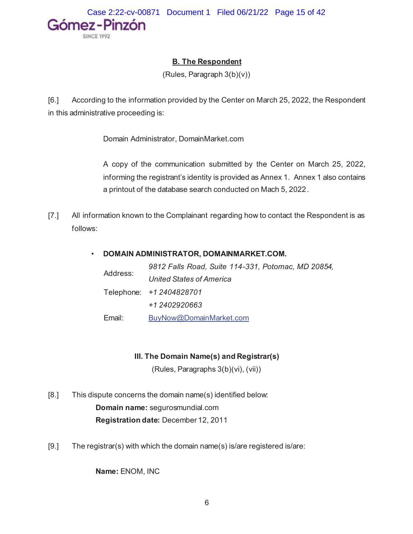

## **B. The Respondent**

(Rules, Paragraph 3(b)(v))

[6.] According to the information provided by the Center on March 25, 2022, the Respondent in this administrative proceeding is:

Domain Administrator, DomainMarket.com

A copy of the communication submitted by the Center on March 25, 2022, informing the registrant's identity is provided as Annex 1. Annex 1 also contains a printout of the database search conducted on Mach 5, 2022.

[7.] All information known to the Complainant regarding how to contact the Respondent is as follows:

## • **DOMAIN ADMINISTRATOR, DOMAINMARKET.COM.**

| Address: | 9812 Falls Road, Suite 114-331, Potomac, MD 20854, |
|----------|----------------------------------------------------|
|          | United States of America                           |
|          | Telephone: +1 2404828701                           |
|          | +1 2402920663                                      |
| Email:   | BuyNow@DomainMarket.com                            |

## **III. The Domain Name(s) and Registrar(s)**

(Rules, Paragraphs 3(b)(vi), (vii))

- [8.] This dispute concerns the domain name(s) identified below: **Domain name:** segurosmundial.com **Registration date:** December 12, 2011
- [9.] The registrar(s) with which the domain name(s) is/are registered is/are:

**Name:** ENOM, INC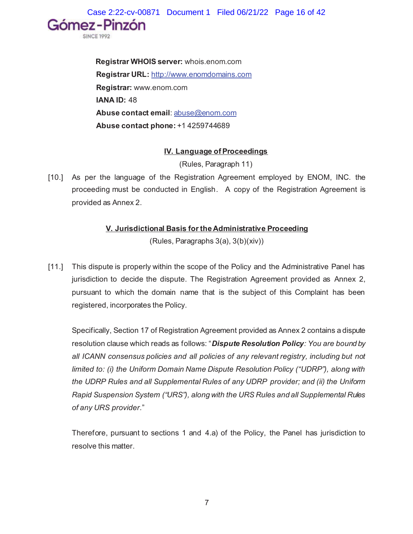Case 2:22-cv-00871 Document 1 Filed 06/21/22 Page 16 of 42

**Registrar WHOIS server:** whois.enom.com **Registrar URL:** http://www.enomdomains.com **Registrar:** www.enom.com **IANA ID:** 48 **Abuse contact email**: abuse@enom.com **Abuse contact phone:** +1 4259744689

Gómez-Pinzón

## **IV. Language of Proceedings**

(Rules, Paragraph 11)

[10.] As per the language of the Registration Agreement employed by ENOM, INC. the proceeding must be conducted in English. A copy of the Registration Agreement is provided as Annex 2.

## **V. Jurisdictional Basis for the Administrative Proceeding**

(Rules, Paragraphs 3(a), 3(b)(xiv))

[11.] This dispute is properly within the scope of the Policy and the Administrative Panel has jurisdiction to decide the dispute. The Registration Agreement provided as Annex 2, pursuant to which the domain name that is the subject of this Complaint has been registered, incorporates the Policy.

Specifically, Section 17 of Registration Agreement provided as Annex 2 contains a dispute resolution clause which reads as follows: "*Dispute Resolution Policy: You are bound by all ICANN consensus policies and all policies of any relevant registry, including but not limited to: (i) the Uniform Domain Name Dispute Resolution Policy ("UDRP"), along with the UDRP Rules and all Supplemental Rules of any UDRP provider; and (ii) the Uniform Rapid Suspension System ("URS"), along with the URS Rules and all Supplemental Rules of any URS provider.*"

Therefore, pursuant to sections 1 and 4.a) of the Policy, the Panel has jurisdiction to resolve this matter.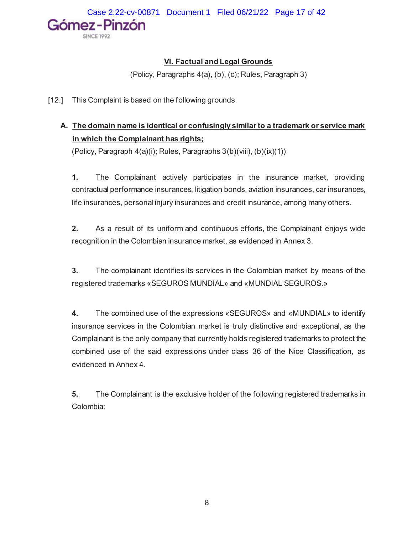## **VI. Factual and Legal Grounds**

(Policy, Paragraphs 4(a), (b), (c); Rules, Paragraph 3)

[12.] This Complaint is based on the following grounds:

# **A. The domain name is identical or confusingly similar to a trademark or service mark in which the Complainant has rights;**

(Policy, Paragraph 4(a)(i); Rules, Paragraphs 3(b)(viii), (b)(ix)(1))

**1.** The Complainant actively participates in the insurance market, providing contractual performance insurances, litigation bonds, aviation insurances, car insurances, life insurances, personal injury insurances and credit insurance, among many others.

**2.** As a result of its uniform and continuous efforts, the Complainant enjoys wide recognition in the Colombian insurance market, as evidenced in Annex 3.

**3.** The complainant identifies its services in the Colombian market by means of the registered trademarks «SEGUROS MUNDIAL» and «MUNDIAL SEGUROS.»

**4.** The combined use of the expressions «SEGUROS» and «MUNDIAL» to identify insurance services in the Colombian market is truly distinctive and exceptional, as the Complainant is the only company that currently holds registered trademarks to protect the combined use of the said expressions under class 36 of the Nice Classification, as evidenced in Annex 4.

**5.** The Complainant is the exclusive holder of the following registered trademarks in Colombia: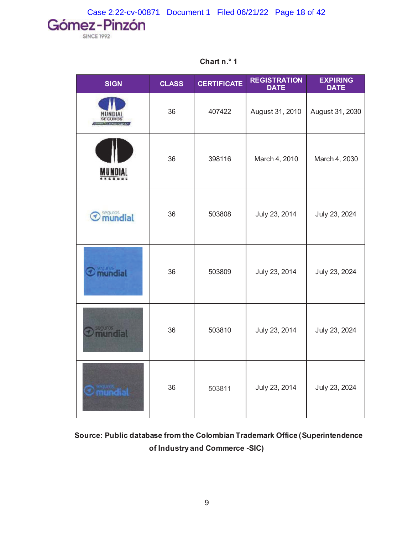Case 2:22-cv-00871 Document 1 Filed 06/21/22 Page 18 of 42

**SINCE 1992** 

| <b>SIGN</b>                      | <b>CLASS</b> | <b>CERTIFICATE</b> | <b>REGISTRATION</b><br><b>DATE</b> | <b>EXPIRING</b><br><b>DATE</b> |
|----------------------------------|--------------|--------------------|------------------------------------|--------------------------------|
|                                  | 36           | 407422             | August 31, 2010                    | August 31, 2030                |
|                                  | 36           | 398116             | March 4, 2010                      | March 4, 2030                  |
| seguros<br><b>mundial</b><br>◀   | 36           | 503808             | July 23, 2014                      | July 23, 2024                  |
| mundial                          | 36           | 503809             | July 23, 2014                      | July 23, 2024                  |
| <b>ERGLIFOS</b><br><b>undial</b> | 36           | 503810             | July 23, 2014                      | July 23, 2024                  |
|                                  | 36           | 503811             | July 23, 2014                      | July 23, 2024                  |

**Chart n.° 1**

**Source: Public database from the Colombian Trademark Office (Superintendence of Industry and Commerce -SIC)**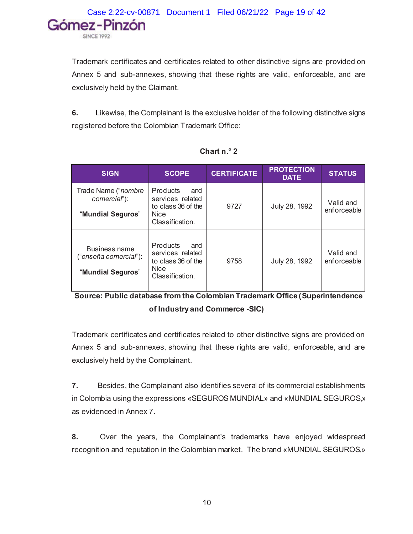Trademark certificates and certificates related to other distinctive signs are provided on Annex 5 and sub-annexes, showing that these rights are valid, enforceable, and are exclusively held by the Claimant.

**6.** Likewise, the Complainant is the exclusive holder of the following distinctive signs registered before the Colombian Trademark Office:

| <b>SIGN</b>                                                      | <b>SCOPE</b>                                                                                       | <b>CERTIFICATE</b> | <b>PROTECTION</b><br><b>DATE</b> | <b>STATUS</b>            |
|------------------------------------------------------------------|----------------------------------------------------------------------------------------------------|--------------------|----------------------------------|--------------------------|
| Trade Name (" <i>nombre</i><br>comercial"):<br>"Mundial Seguros" | <b>Products</b><br>and<br>services related<br>to class 36 of the<br><b>Nice</b><br>Classification. | 9727               | July 28, 1992                    | Valid and<br>enforceable |
| Business name<br>("enseña comercial"):<br>"Mundial Seguros"      | Products<br>and<br>services related<br>to class 36 of the<br><b>Nice</b><br>Classification.        | 9758               | July 28, 1992                    | Valid and<br>enforceable |

|  | Chart $n.^{\circ}$ 2 |  |
|--|----------------------|--|
|  |                      |  |

**Source: Public database from the Colombian Trademark Office (Superintendence of Industry and Commerce -SIC)**

Trademark certificates and certificates related to other distinctive signs are provided on Annex 5 and sub-annexes, showing that these rights are valid, enforceable, and are exclusively held by the Complainant.

**7.** Besides, the Complainant also identifies several of its commercial establishments in Colombia using the expressions «SEGUROS MUNDIAL» and «MUNDIAL SEGUROS,» as evidenced in Annex 7.

**8.** Over the years, the Complainant's trademarks have enjoyed widespread recognition and reputation in the Colombian market. The brand «MUNDIAL SEGUROS,»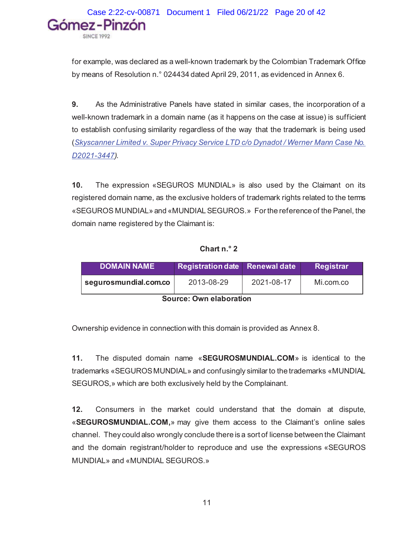Case 2:22-cv-00871 Document 1 Filed 06/21/22 Page 20 of 42Gómez-Pinzón

for example, was declared as a well-known trademark by the Colombian Trademark Office by means of Resolution n.° 024434 dated April 29, 2011, as evidenced in Annex 6.

**9.** As the Administrative Panels have stated in similar cases, the incorporation of a well-known trademark in a domain name (as it happens on the case at issue) is sufficient to establish confusing similarity regardless of the way that the trademark is being used (*Skyscanner Limited v. Super Privacy Service LTD c/o Dynadot / Werner Mann Case No. D2021-3447).*

**10.** The expression «SEGUROS MUNDIAL» is also used by the Claimant on its registered domain name, as the exclusive holders of trademark rights related to the terms «SEGUROS MUNDIAL» and «MUNDIAL SEGUROS.» For the reference of the Panel, the domain name registered by the Claimant is:

**Chart n.° 2**

| <b>DOMAIN NAME</b>             | Registration date Renewal date |  | Registrar |  |  |
|--------------------------------|--------------------------------|--|-----------|--|--|
| segurosmundial.com.co          | 2021-08-17<br>2013-08-29       |  | Mi.com.co |  |  |
| Ostronom Originale la matteria |                                |  |           |  |  |

**Source: Own elaboration**

Ownership evidence in connection with this domain is provided as Annex 8.

**11.** The disputed domain name «**SEGUROSMUNDIAL.COM**» is identical to the trademarks «SEGUROS MUNDIAL» and confusingly similar to the trademarks «MUNDIAL SEGUROS,» which are both exclusively held by the Complainant.

**12.** Consumers in the market could understand that the domain at dispute, «**SEGUROSMUNDIAL.COM,**» may give them access to the Claimant's online sales channel. They could also wrongly conclude there is a sort of license between the Claimant and the domain registrant/holder to reproduce and use the expressions «SEGUROS MUNDIAL» and «MUNDIAL SEGUROS.»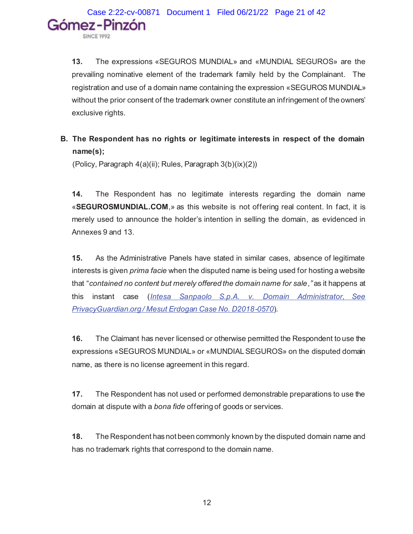**13.** The expressions «SEGUROS MUNDIAL» and «MUNDIAL SEGUROS» are the prevailing nominative element of the trademark family held by the Complainant. The registration and use of a domain name containing the expression «SEGUROS MUNDIAL» without the prior consent of the trademark owner constitute an infringement of the owners' exclusive rights.

## **B. The Respondent has no rights or legitimate interests in respect of the domain name(s);**

(Policy, Paragraph 4(a)(ii); Rules, Paragraph 3(b)(ix)(2))

**14.** The Respondent has no legitimate interests regarding the domain name «**SEGUROSMUNDIAL.COM**,» as this website is not offering real content. In fact, it is merely used to announce the holder's intention in selling the domain, as evidenced in Annexes 9 and 13.

**15.** As the Administrative Panels have stated in similar cases, absence of legitimate interests is given *prima facie* when the disputed name is being used for hosting a website that "*contained no content but merely offered the domain name for sale,"* as it happens at this instant case (*Intesa Sanpaolo S.p.A. v. Domain Administrator, See PrivacyGuardian.org / Mesut Erdogan Case No. D2018-0570*).

**16.** The Claimant has never licensed or otherwise permitted the Respondent to use the expressions «SEGUROS MUNDIAL» or «MUNDIAL SEGUROS» on the disputed domain name, as there is no license agreement in this regard.

**17.** The Respondent has not used or performed demonstrable preparations to use the domain at dispute with a *bona fide* offering of goods or services.

**18.** The Respondent has not been commonly known by the disputed domain name and has no trademark rights that correspond to the domain name.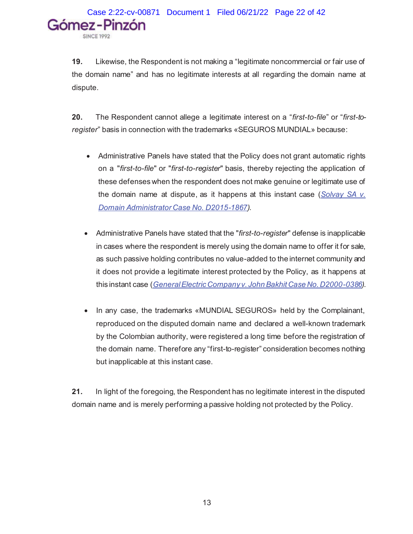**19.** Likewise, the Respondent is not making a "legitimate noncommercial or fair use of the domain name" and has no legitimate interests at all regarding the domain name at dispute.

**20.** The Respondent cannot allege a legitimate interest on a "*first-to-file*" or "*first-toregister*" basis in connection with the trademarks «SEGUROS MUNDIAL» because:

- Administrative Panels have stated that the Policy does not grant automatic rights on a "*first-to-file*" or "*first-to-register*" basis, thereby rejecting the application of these defenses when the respondent does not make genuine or legitimate use of the domain name at dispute, as it happens at this instant case (*Solvay SA v. Domain Administrator Case No. D2015-1867).*
- Administrative Panels have stated that the "*first-to-register*" defense is inapplicable in cases where the respondent is merely using the domain name to offer it for sale, as such passive holding contributes no value-added to the internet community and it does not provide a legitimate interest protected by the Policy, as it happens at this instant case (*General Electric Company v. John Bakhit Case No. D2000-0386).*
- In any case, the trademarks «MUNDIAL SEGUROS» held by the Complainant, reproduced on the disputed domain name and declared a well-known trademark by the Colombian authority, were registered a long time before the registration of the domain name. Therefore any "first-to-register" consideration becomes nothing but inapplicable at this instant case.

**21.** In light of the foregoing, the Respondent has no legitimate interest in the disputed domain name and is merely performing a passive holding not protected by the Policy.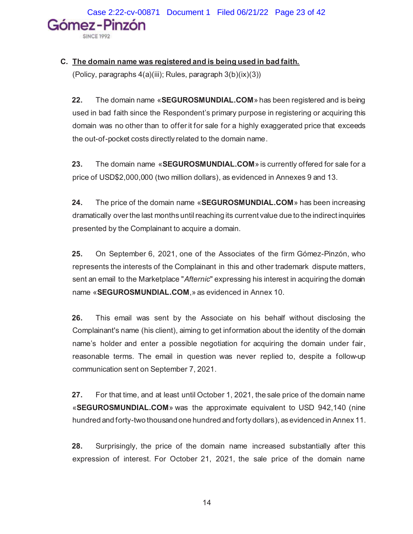Case 2:22-cv-00871 Document 1 Filed 06/21/22 Page 23 of 42Gómez-Pinzón

## **C. The domain name was registered and is being used in bad faith.**

(Policy, paragraphs 4(a)(iii); Rules, paragraph 3(b)(ix)(3))

**22.** The domain name «**SEGUROSMUNDIAL.COM**» has been registered and is being used in bad faith since the Respondent's primary purpose in registering or acquiring this domain was no other than to offer it for sale for a highly exaggerated price that exceeds the out-of-pocket costs directly related to the domain name.

**23.** The domain name «**SEGUROSMUNDIAL.COM**» is currently offered for sale for a price of USD\$2,000,000 (two million dollars), as evidenced in Annexes 9 and 13.

**24.** The price of the domain name «**SEGUROSMUNDIAL.COM**» has been increasing dramatically over the last months until reaching its current value due to the indirect inquiries presented by the Complainant to acquire a domain.

**25.** On September 6, 2021, one of the Associates of the firm Gómez-Pinzón, who represents the interests of the Complainant in this and other trademark dispute matters, sent an email to the Marketplace "*Afternic*" expressing his interest in acquiring the domain name «**SEGUROSMUNDIAL.COM**,» as evidenced in Annex 10.

**26.** This email was sent by the Associate on his behalf without disclosing the Complainant's name (his client), aiming to get information about the identity of the domain name's holder and enter a possible negotiation for acquiring the domain under fair, reasonable terms. The email in question was never replied to, despite a follow-up communication sent on September 7, 2021.

**27.** For that time, and at least until October 1, 2021, the sale price of the domain name «**SEGUROSMUNDIAL.COM**» was the approximate equivalent to USD 942,140 (nine hundred and forty-two thousand one hundred and forty dollars), as evidenced in Annex 11.

**28.** Surprisingly, the price of the domain name increased substantially after this expression of interest. For October 21, 2021, the sale price of the domain name

14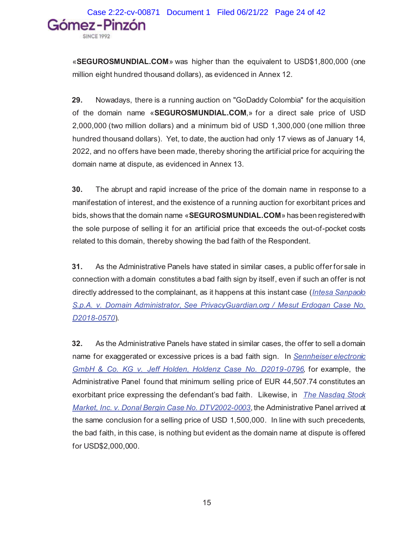«**SEGUROSMUNDIAL.COM**» was higher than the equivalent to USD\$1,800,000 (one million eight hundred thousand dollars), as evidenced in Annex 12.

**29.** Nowadays, there is a running auction on "GoDaddy Colombia" for the acquisition of the domain name «**SEGUROSMUNDIAL.COM**,» for a direct sale price of USD 2,000,000 (two million dollars) and a minimum bid of USD 1,300,000 (one million three hundred thousand dollars). Yet, to date, the auction had only 17 views as of January 14, 2022, and no offers have been made, thereby shoring the artificial price for acquiring the domain name at dispute, as evidenced in Annex 13.

**30.** The abrupt and rapid increase of the price of the domain name in response to a manifestation of interest, and the existence of a running auction for exorbitant prices and bids, shows that the domain name «**SEGUROSMUNDIAL.COM**» has been registered with the sole purpose of selling it for an artificial price that exceeds the out-of-pocket costs related to this domain, thereby showing the bad faith of the Respondent.

**31.** As the Administrative Panels have stated in similar cases, a public offer for sale in connection with a domain constitutes a bad faith sign by itself, even if such an offer is not directly addressed to the complainant, as it happens at this instant case (*Intesa Sanpaolo S.p.A. v. Domain Administrator, See PrivacyGuardian.org / Mesut Erdogan Case No. D2018-0570*).

**32.** As the Administrative Panels have stated in similar cases, the offer to sell a domain name for exaggerated or excessive prices is a bad faith sign. In *Sennheiser electronic GmbH & Co. KG v. Jeff Holden, Holdenz Case No. D2019-0796,* for example, the Administrative Panel found that minimum selling price of EUR 44,507.74 constitutes an exorbitant price expressing the defendant's bad faith. Likewise, in *The Nasdaq Stock Market, Inc. v. Donal Bergin Case No. DTV2002-0003*, the Administrative Panel arrived at the same conclusion for a selling price of USD 1,500,000. In line with such precedents, the bad faith, in this case, is nothing but evident as the domain name at dispute is offered for USD\$2,000,000.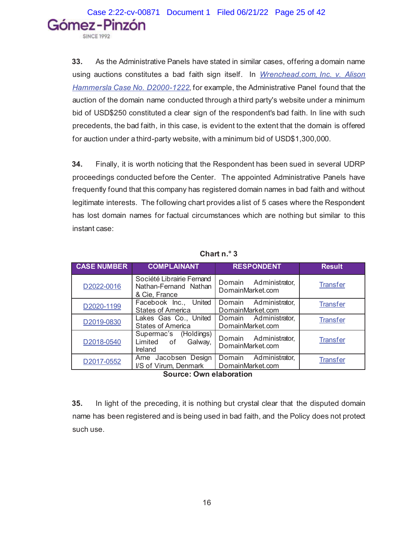**33.** As the Administrative Panels have stated in similar cases, offering a domain name using auctions constitutes a bad faith sign itself. In *Wrenchead.com, Inc. v. Alison Hammersla Case No. D2000-1222*, for example, the Administrative Panel found that the auction of the domain name conducted through a third party's website under a minimum bid of USD\$250 constituted a clear sign of the respondent's bad faith. In line with such precedents, the bad faith, in this case, is evident to the extent that the domain is offered for auction under a third-party website, with a minimum bid of USD\$1,300,000.

**34.** Finally, it is worth noticing that the Respondent has been sued in several UDRP proceedings conducted before the Center. The appointed Administrative Panels have frequently found that this company has registered domain names in bad faith and without legitimate interests. The following chart provides a list of 5 cases where the Respondent has lost domain names for factual circumstances which are nothing but similar to this instant case:

| <b>CASE NUMBER</b> | <b>COMPLAINANT</b>                                                  | <b>RESPONDENT</b>                            | <b>Result</b>   |
|--------------------|---------------------------------------------------------------------|----------------------------------------------|-----------------|
| D2022-0016         | Société Librairie Fernand<br>Nathan-Fernand Nathan<br>& Cie, France | Domain Administrator,<br>DomainMarket.com    | <b>Transfer</b> |
| D2020-1199         | Facebook Inc.,<br>United<br><b>States of America</b>                | Domain Administrator,<br>DomainMarket.com    | <b>Transfer</b> |
| D2019-0830         | Lakes Gas Co., United<br><b>States of America</b>                   | Domain Administrator,<br>DomainMarket.com    | <b>Transfer</b> |
| D2018-0540         | Supermac's (Holdings)<br>Limited of<br>Galway,<br>Ireland           | Domain Administrator,<br>DomainMarket.com    | <b>Transfer</b> |
| D2017-0552         | Arne Jacobsen Design<br>I/S of Virum, Denmark                       | Administrator,<br>Domain<br>DomainMarket.com | <b>Transfer</b> |

**Chart n.° 3**

**Source: Own elaboration**

**35.** In light of the preceding, it is nothing but crystal clear that the disputed domain name has been registered and is being used in bad faith, and the Policy does not protect such use.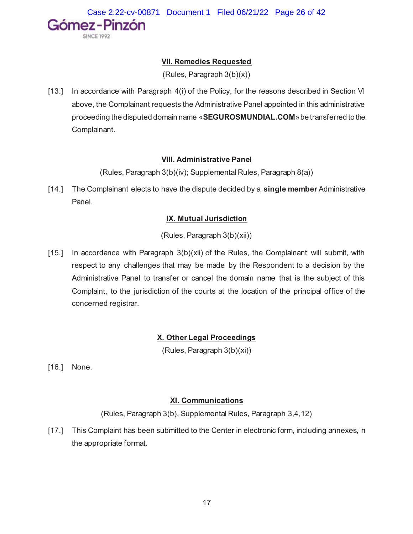

## **VII. Remedies Requested**

(Rules, Paragraph 3(b)(x))

[13.] In accordance with Paragraph 4(i) of the Policy, for the reasons described in Section VI above, the Complainant requests the Administrative Panel appointed in this administrative proceeding the disputed domain name «**SEGUROSMUNDIAL.COM**»be transferred to the Complainant.

## **VIII. Administrative Panel**

(Rules, Paragraph 3(b)(iv); Supplemental Rules, Paragraph 8(a))

[14.] The Complainant elects to have the dispute decided by a **single member** Administrative Panel.

## **IX. Mutual Jurisdiction**

(Rules, Paragraph 3(b)(xii))

[15.] In accordance with Paragraph  $3(b)(xii)$  of the Rules, the Complainant will submit, with respect to any challenges that may be made by the Respondent to a decision by the Administrative Panel to transfer or cancel the domain name that is the subject of this Complaint, to the jurisdiction of the courts at the location of the principal office of the concerned registrar.

## **X. Other Legal Proceedings**

(Rules, Paragraph 3(b)(xi))

[16.] None.

## **XI. Communications**

(Rules, Paragraph 3(b), Supplemental Rules, Paragraph 3,4,12)

[17.] This Complaint has been submitted to the Center in electronic form, including annexes, in the appropriate format.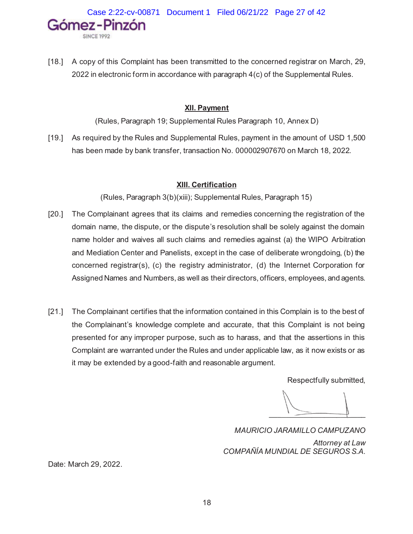Case 2:22-cv-00871 Document 1 Filed 06/21/22 Page 27 of 42Gómez-Pinzón

[18.] A copy of this Complaint has been transmitted to the concerned registrar on March, 29, 2022 in electronic form in accordance with paragraph 4(c) of the Supplemental Rules.

## **XII. Payment**

(Rules, Paragraph 19; Supplemental Rules Paragraph 10, Annex D)

[19.] As required by the Rules and Supplemental Rules, payment in the amount of USD 1,500 has been made by bank transfer, transaction No. 000002907670 on March 18, 2022.

## **XIII. Certification**

(Rules, Paragraph 3(b)(xiii); Supplemental Rules, Paragraph 15)

- [20.] The Complainant agrees that its claims and remedies concerning the registration of the domain name, the dispute, or the dispute's resolution shall be solely against the domain name holder and waives all such claims and remedies against (a) the WIPO Arbitration and Mediation Center and Panelists, except in the case of deliberate wrongdoing, (b) the concerned registrar(s), (c) the registry administrator, (d) the Internet Corporation for Assigned Names and Numbers, as well as their directors, officers, employees, and agents.
- [21.] The Complainant certifies that the information contained in this Complain is to the best of the Complainant's knowledge complete and accurate, that this Complaint is not being presented for any improper purpose, such as to harass, and that the assertions in this Complaint are warranted under the Rules and under applicable law, as it now exists or as it may be extended by a good-faith and reasonable argument.

Respectfully submitted,

 $\longrightarrow$  $\longrightarrow$ 

*MAURICIO JARAMILLO CAMPUZANO Attorney at Law COMPAÑÍA MUNDIAL DE SEGUROS S.A.*

Date: March 29, 2022.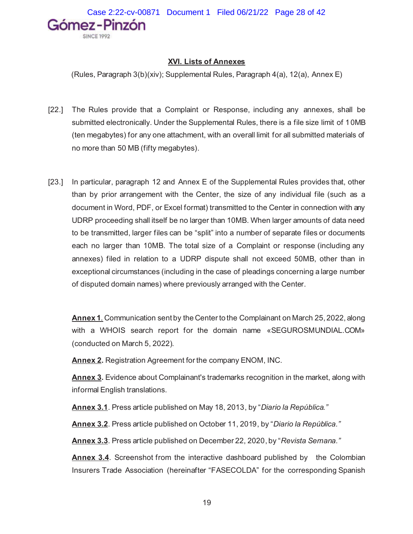## **XVI. Lists of Annexes**

(Rules, Paragraph 3(b)(xiv); Supplemental Rules, Paragraph 4(a), 12(a), Annex E)

- [22.] The Rules provide that a Complaint or Response, including any annexes, shall be submitted electronically. Under the Supplemental Rules, there is a file size limit of 10MB (ten megabytes) for any one attachment, with an overall limit for all submitted materials of no more than 50 MB (fifty megabytes).
- [23.] In particular, paragraph 12 and Annex E of the Supplemental Rules provides that, other than by prior arrangement with the Center, the size of any individual file (such as a document in Word, PDF, or Excel format) transmitted to the Center in connection with any UDRP proceeding shall itself be no larger than 10MB. When larger amounts of data need to be transmitted, larger files can be "split" into a number of separate files or documents each no larger than 10MB. The total size of a Complaint or response (including any annexes) filed in relation to a UDRP dispute shall not exceed 50MB, other than in exceptional circumstances (including in the case of pleadings concerning a large number of disputed domain names) where previously arranged with the Center.

**Annex 1***.* Communication sent by the Center to the Complainant on March 25, 2022, along with a WHOIS search report for the domain name «SEGUROSMUNDIAL.COM» (conducted on March 5, 2022).

**Annex 2.** Registration Agreement for the company ENOM, INC.

**Annex 3.** Evidence about Complainant's trademarks recognition in the market, along with informal English translations.

**Annex 3.1**. Press article published on May 18, 2013, by "*Diario la República."*

**Annex 3.2**. Press article published on October 11, 2019, by "*Diario la República."*

**Annex 3.3**. Press article published on December 22, 2020, by "*Revista Semana."*

**Annex 3.4.** Screenshot from the interactive dashboard published by the Colombian Insurers Trade Association (hereinafter "FASECOLDA" for the corresponding Spanish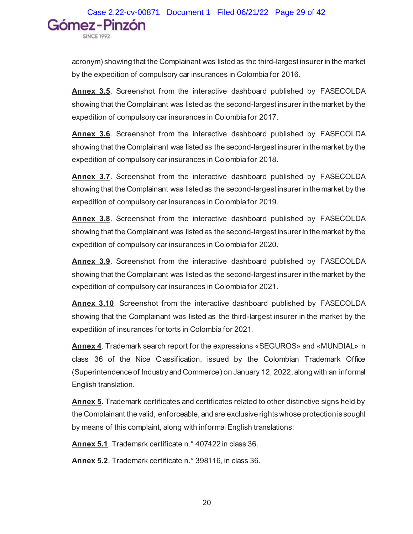acronym) showing that the Complainant was listed as the third-largest insurer in the market by the expedition of compulsory car insurances in Colombia for 2016.

**Annex 3.5**. Screenshot from the interactive dashboard published by FASECOLDA showing that the Complainant was listed as the second-largest insurer in the market by the expedition of compulsory car insurances in Colombia for 2017.

**Annex 3.6**. Screenshot from the interactive dashboard published by FASECOLDA showing that the Complainant was listed as the second-largest insurer in the market by the expedition of compulsory car insurances in Colombia for 2018.

**Annex 3.7**. Screenshot from the interactive dashboard published by FASECOLDA showing that the Complainant was listed as the second-largest insurer in the market by the expedition of compulsory car insurances in Colombia for 2019.

**Annex 3.8**. Screenshot from the interactive dashboard published by FASECOLDA showing that the Complainant was listed as the second-largest insurer in the market by the expedition of compulsory car insurances in Colombia for 2020.

**Annex 3.9**. Screenshot from the interactive dashboard published by FASECOLDA showing that the Complainant was listed as the second-largest insurer in the market by the expedition of compulsory car insurances in Colombia for 2021.

**Annex 3.10**. Screenshot from the interactive dashboard published by FASECOLDA showing that the Complainant was listed as the third-largest insurer in the market by the expedition of insurances for torts in Colombia for 2021.

**Annex 4**. Trademark search report for the expressions «SEGUROS» and «MUNDIAL» in class 36 of the Nice Classification, issued by the Colombian Trademark Office (Superintendence of Industry and Commerce) on January 12, 2022, along with an informal English translation.

**Annex 5**. Trademark certificates and certificates related to other distinctive signs held by the Complainant the valid, enforceable, and are exclusive rights whose protection is sought by means of this complaint, along with informal English translations:

**Annex 5.1**. Trademark certificate n.° 407422 in class 36.

**Annex 5.2**. Trademark certificate n.° 398116, in class 36.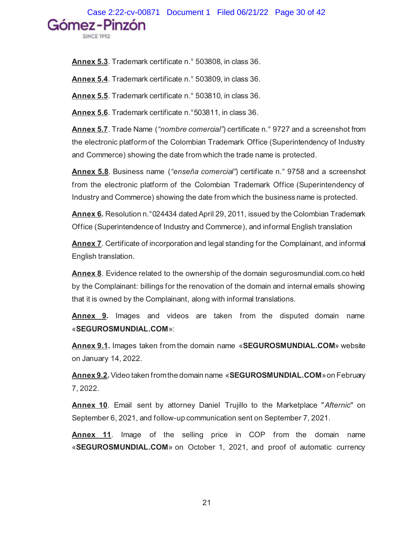Case 2:22-cv-00871 Document 1 Filed 06/21/22 Page 30 of 42<br>Gómez – Pinzón

**Annex 5.3**. Trademark certificate n.° 503808, in class 36.

**Annex 5.4**. Trademark certificate n.° 503809, in class 36.

**Annex 5.5**. Trademark certificate n.° 503810, in class 36.

**Annex 5.6**. Trademark certificate n.°503811, in class 36.

**Annex 5.7**. Trade Name (*"nombre comercial"*) certificate n.° 9727 and a screenshot from the electronic platform of the Colombian Trademark Office (Superintendency of Industry and Commerce) showing the date from which the trade name is protected.

**Annex 5.8**. Business name (*"enseña comercial"*) certificate n.° 9758 and a screenshot from the electronic platform of the Colombian Trademark Office (Superintendency of Industry and Commerce) showing the date from which the business name is protected.

**Annex 6.** Resolution n.°024434 dated April 29, 2011, issued by the Colombian Trademark Office (Superintendence of Industry and Commerce), and informal English translation

**Annex 7**. Certificate of incorporation and legal standing for the Complainant, and informal English translation.

**Annex 8**. Evidence related to the ownership of the domain segurosmundial.com.co held by the Complainant: billings for the renovation of the domain and internal emails showing that it is owned by the Complainant, along with informal translations.

**Annex 9.** Images and videos are taken from the disputed domain name «**SEGUROSMUNDIAL.COM**»:

**Annex 9.1.** Images taken from the domain name «**SEGUROSMUNDIAL.COM**» website on January 14, 2022.

**Annex 9.2.**Video taken from the domain name «**SEGUROSMUNDIAL.COM**»on February 7, 2022.

**Annex 10**. Email sent by attorney Daniel Trujillo to the Marketplace "*Afternic*" on September 6, 2021, and follow-up communication sent on September 7, 2021.

**Annex 11**. Image of the selling price in COP from the domain name «**SEGUROSMUNDIAL.COM**» on October 1, 2021, and proof of automatic currency

21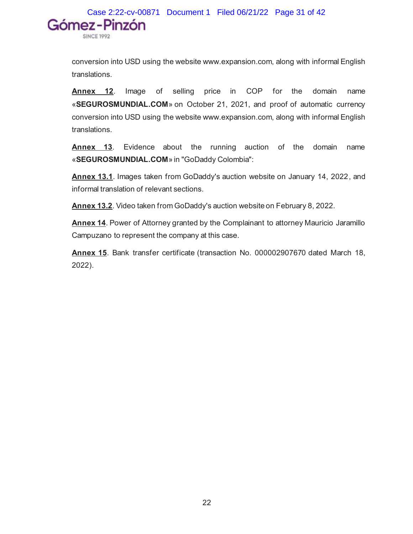Case 2:22-cv-00871 Document 1 Filed 06/21/22 Page 31 of 42Gómez-Pinzón **SINCE 1992** 

conversion into USD using the website www.expansion.com, along with informal English translations.

**Annex 12**. Image of selling price in COP for the domain name «**SEGUROSMUNDIAL.COM**» on October 21, 2021, and proof of automatic currency conversion into USD using the website www.expansion.com, along with informal English translations.

**Annex 13**. Evidence about the running auction of the domain name «**SEGUROSMUNDIAL.COM**» in "GoDaddy Colombia":

**Annex 13.1**. Images taken from GoDaddy's auction website on January 14, 2022, and informal translation of relevant sections.

**Annex 13.2**. Video taken from GoDaddy's auction website on February 8, 2022.

**Annex 14**. Power of Attorney granted by the Complainant to attorney Mauricio Jaramillo Campuzano to represent the company at this case.

**Annex 15**. Bank transfer certificate (transaction No. 000002907670 dated March 18, 2022).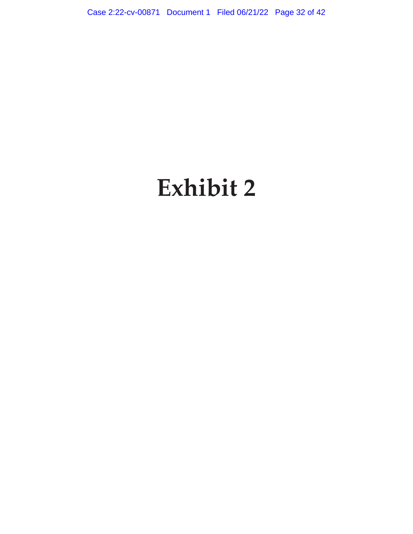Case 2:22-cv-00871 Document 1 Filed 06/21/22 Page 32 of 42

# **Exhibit 2**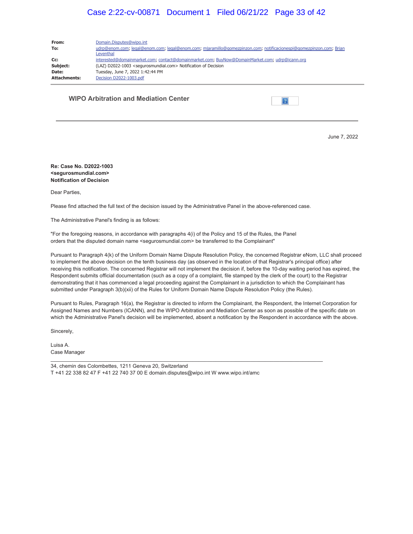## Case 2:22-cv-00871 Document 1 Filed 06/21/22 Page 33 of 42

| From:               | Domain.Disputes@wipo.int                                                                                                        |  |  |
|---------------------|---------------------------------------------------------------------------------------------------------------------------------|--|--|
| To:                 | udrp@enom.com; legal@enom.com; legal@enom.com; mjaramillo@gomezpinzon.com; notificacionespi@gomezpinzon.com; Brian<br>Leventhal |  |  |
| Cc:                 | interested@domainmarket.com; contact@domainmarket.com; BuyNow@DomainMarket.com; udrp@icann.org                                  |  |  |
| Subject:            | (LAZ) D2022-1003 <segurosmundial.com> Notification of Decision</segurosmundial.com>                                             |  |  |
| Date:               | Tuesday, June 7, 2022 1:42:44 PM                                                                                                |  |  |
| <b>Attachments:</b> | Decision D2022-1003.pdf                                                                                                         |  |  |

**WIPO Arbitration and Mediation Center**

 $\vert$ ?

June 7, 2022

#### **Re: Case No. D2022-1003 <segurosmundial.com> Notification of Decision**

Dear Parties,

Please find attached the full text of the decision issued by the Administrative Panel in the above-referenced case.

The Administrative Panel's finding is as follows:

"For the foregoing reasons, in accordance with paragraphs 4(i) of the Policy and 15 of the Rules, the Panel orders that the disputed domain name <segurosmundial.com> be transferred to the Complainant"

Pursuant to Paragraph 4(k) of the Uniform Domain Name Dispute Resolution Policy, the concerned Registrar eNom, LLC shall proceed to implement the above decision on the tenth business day (as observed in the location of that Registrar's principal office) after receiving this notification. The concerned Registrar will not implement the decision if, before the 10-day waiting period has expired, the Respondent submits official documentation (such as a copy of a complaint, file stamped by the clerk of the court) to the Registrar demonstrating that it has commenced a legal proceeding against the Complainant in a jurisdiction to which the Complainant has submitted under Paragraph 3(b)(xii) of the Rules for Uniform Domain Name Dispute Resolution Policy (the Rules).

Pursuant to Rules, Paragraph 16(a), the Registrar is directed to inform the Complainant, the Respondent, the Internet Corporation for Assigned Names and Numbers (ICANN), and the WIPO Arbitration and Mediation Center as soon as possible of the specific date on which the Administrative Panel's decision will be implemented, absent a notification by the Respondent in accordance with the above.

\_\_\_\_\_\_\_\_\_\_\_\_\_\_\_\_\_\_\_\_\_\_\_\_\_\_\_\_\_\_\_\_\_\_\_\_\_\_\_\_\_\_\_\_\_\_\_\_\_\_\_\_\_\_\_\_\_\_\_\_\_\_\_\_\_\_\_\_\_\_\_\_\_\_\_\_\_\_\_\_\_\_\_\_\_\_\_\_\_\_\_\_\_\_

Sincerely,

Luisa A. Case Manager

34, chemin des Colombettes, 1211 Geneva 20, Switzerland

T +41 22 338 82 47 F +41 22 740 37 00 E domain.disputes@wipo.int W www.wipo.int/amc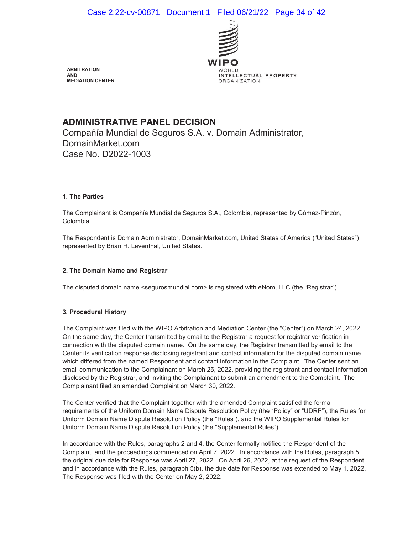

**ARBITRATION AND MEDIATION CENTER**

## **ADMINISTRATIVE PANEL DECISION**

Compañía Mundial de Seguros S.A. v. Domain Administrator, DomainMarket.com Case No. D2022-1003

#### **1. The Parties**

The Complainant is Compañía Mundial de Seguros S.A., Colombia, represented by Gómez-Pinzón, Colombia.

The Respondent is Domain Administrator, DomainMarket.com, United States of America ("United States") represented by Brian H. Leventhal, United States.

#### **2. The Domain Name and Registrar**

The disputed domain name <segurosmundial.com> is registered with eNom, LLC (the "Registrar").

## **3. Procedural History**

The Complaint was filed with the WIPO Arbitration and Mediation Center (the "Center") on March 24, 2022. On the same day, the Center transmitted by email to the Registrar a request for registrar verification in connection with the disputed domain name. On the same day, the Registrar transmitted by email to the Center its verification response disclosing registrant and contact information for the disputed domain name which differed from the named Respondent and contact information in the Complaint. The Center sent an email communication to the Complainant on March 25, 2022, providing the registrant and contact information disclosed by the Registrar, and inviting the Complainant to submit an amendment to the Complaint. The Complainant filed an amended Complaint on March 30, 2022.

The Center verified that the Complaint together with the amended Complaint satisfied the formal requirements of the Uniform Domain Name Dispute Resolution Policy (the "Policy" or "UDRP"), the Rules for Uniform Domain Name Dispute Resolution Policy (the "Rules"), and the WIPO Supplemental Rules for Uniform Domain Name Dispute Resolution Policy (the "Supplemental Rules").

In accordance with the Rules, paragraphs 2 and 4, the Center formally notified the Respondent of the Complaint, and the proceedings commenced on April 7, 2022. In accordance with the Rules, paragraph 5, the original due date for Response was April 27, 2022. On April 26, 2022, at the request of the Respondent and in accordance with the Rules, paragraph 5(b), the due date for Response was extended to May 1, 2022. The Response was filed with the Center on May 2, 2022.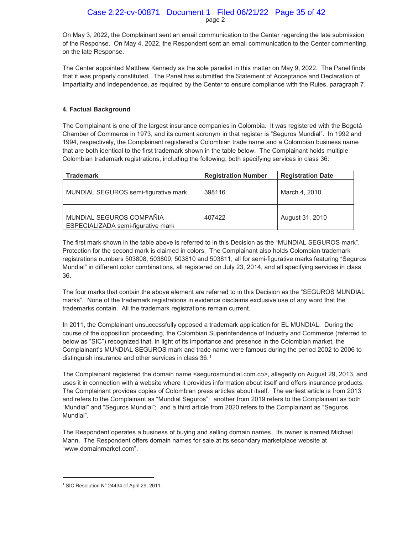## page 2 Case 2:22-cv-00871 Document 1 Filed 06/21/22 Page 35 of 42

On May 3, 2022, the Complainant sent an email communication to the Center regarding the late submission of the Response. On May 4, 2022, the Respondent sent an email communication to the Center commenting on the late Response.

The Center appointed Matthew Kennedy as the sole panelist in this matter on May 9, 2022. The Panel finds that it was properly constituted. The Panel has submitted the Statement of Acceptance and Declaration of Impartiality and Independence, as required by the Center to ensure compliance with the Rules, paragraph 7.

## **4. Factual Background**

The Complainant is one of the largest insurance companies in Colombia. It was registered with the Bogotá Chamber of Commerce in 1973, and its current acronym in that register is "Seguros Mundial". In 1992 and 1994, respectively, the Complainant registered a Colombian trade name and a Colombian business name that are both identical to the first trademark shown in the table below. The Complainant holds multiple Colombian trademark registrations, including the following, both specifying services in class 36:

| <b>Trademark</b>                                               | <b>Registration Number</b> | <b>Registration Date</b> |
|----------------------------------------------------------------|----------------------------|--------------------------|
| MUNDIAL SEGUROS semi-figurative mark                           | 398116                     | March 4, 2010            |
| MUNDIAL SEGUROS COMPAÑIA<br>ESPECIALIZADA semi-figurative mark | 407422                     | August 31, 2010          |

The first mark shown in the table above is referred to in this Decision as the "MUNDIAL SEGUROS mark". Protection for the second mark is claimed in colors. The Complainant also holds Colombian trademark registrations numbers 503808, 503809, 503810 and 503811, all for semi-figurative marks featuring "Seguros Mundial" in different color combinations, all registered on July 23, 2014, and all specifying services in class 36.

The four marks that contain the above element are referred to in this Decision as the "SEGUROS MUNDIAL marks". None of the trademark registrations in evidence disclaims exclusive use of any word that the trademarks contain. All the trademark registrations remain current.

In 2011, the Complainant unsuccessfully opposed a trademark application for EL MUNDIAL. During the course of the opposition proceeding, the Colombian Superintendence of Industry and Commerce (referred to below as "SIC") recognized that, in light of its importance and presence in the Colombian market, the Complainant's MUNDIAL SEGUROS mark and trade name were famous during the period 2002 to 2006 to distinguish insurance and other services in class 36.1

The Complainant registered the domain name <segurosmundial.com.co>, allegedly on August 29, 2013, and uses it in connection with a website where it provides information about itself and offers insurance products. The Complainant provides copies of Colombian press articles about itself. The earliest article is from 2013 and refers to the Complainant as "Mundial Seguros"; another from 2019 refers to the Complainant as both "Mundial" and "Seguros Mundial"; and a third article from 2020 refers to the Complainant as "Seguros Mundial".

The Respondent operates a business of buying and selling domain names. Its owner is named Michael Mann. The Respondent offers domain names for sale at its secondary marketplace website at "www.domainmarket.com".

 $\overline{a}$ 

<sup>1</sup> SIC Resolution N° 24434 of April 29, 2011.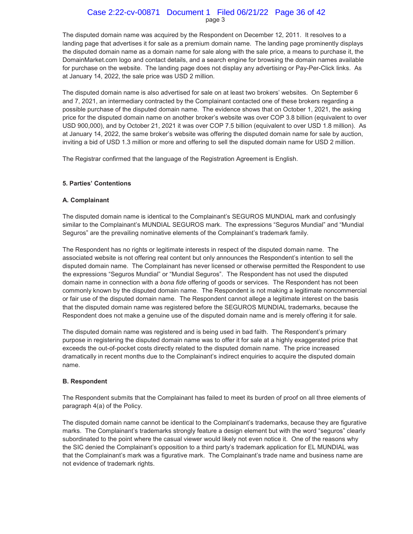#### page 3 Case 2:22-cv-00871 Document 1 Filed 06/21/22 Page 36 of 42

The disputed domain name was acquired by the Respondent on December 12, 2011. It resolves to a landing page that advertises it for sale as a premium domain name. The landing page prominently displays the disputed domain name as a domain name for sale along with the sale price, a means to purchase it, the DomainMarket.com logo and contact details, and a search engine for browsing the domain names available for purchase on the website. The landing page does not display any advertising or Pay-Per-Click links. As at January 14, 2022, the sale price was USD 2 million.

The disputed domain name is also advertised for sale on at least two brokers' websites. On September 6 and 7, 2021, an intermediary contracted by the Complainant contacted one of these brokers regarding a possible purchase of the disputed domain name. The evidence shows that on October 1, 2021, the asking price for the disputed domain name on another broker's website was over COP 3.8 billion (equivalent to over USD 900,000), and by October 21, 2021 it was over COP 7.5 billion (equivalent to over USD 1.8 million). As at January 14, 2022, the same broker's website was offering the disputed domain name for sale by auction, inviting a bid of USD 1.3 million or more and offering to sell the disputed domain name for USD 2 million.

The Registrar confirmed that the language of the Registration Agreement is English.

#### **5. Parties' Contentions**

#### **A. Complainant**

The disputed domain name is identical to the Complainant's SEGUROS MUNDIAL mark and confusingly similar to the Complainant's MUNDIAL SEGUROS mark. The expressions "Seguros Mundial" and "Mundial Seguros" are the prevailing nominative elements of the Complainant's trademark family.

The Respondent has no rights or legitimate interests in respect of the disputed domain name. The associated website is not offering real content but only announces the Respondent's intention to sell the disputed domain name. The Complainant has never licensed or otherwise permitted the Respondent to use the expressions "Seguros Mundial" or "Mundial Seguros". The Respondent has not used the disputed domain name in connection with a *bona fide* offering of goods or services. The Respondent has not been commonly known by the disputed domain name. The Respondent is not making a legitimate noncommercial or fair use of the disputed domain name. The Respondent cannot allege a legitimate interest on the basis that the disputed domain name was registered before the SEGUROS MUNDIAL trademarks, because the Respondent does not make a genuine use of the disputed domain name and is merely offering it for sale.

The disputed domain name was registered and is being used in bad faith. The Respondent's primary purpose in registering the disputed domain name was to offer it for sale at a highly exaggerated price that exceeds the out-of-pocket costs directly related to the disputed domain name. The price increased dramatically in recent months due to the Complainant's indirect enquiries to acquire the disputed domain name.

#### **B. Respondent**

The Respondent submits that the Complainant has failed to meet its burden of proof on all three elements of paragraph 4(a) of the Policy.

The disputed domain name cannot be identical to the Complainant's trademarks, because they are figurative marks. The Complainant's trademarks strongly feature a design element but with the word "seguros" clearly subordinated to the point where the casual viewer would likely not even notice it. One of the reasons why the SIC denied the Complainant's opposition to a third party's trademark application for EL MUNDIAL was that the Complainant's mark was a figurative mark. The Complainant's trade name and business name are not evidence of trademark rights.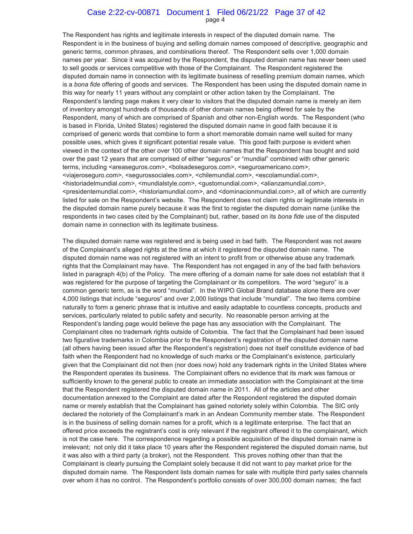#### page 4 Case 2:22-cv-00871 Document 1 Filed 06/21/22 Page 37 of 42

The Respondent has rights and legitimate interests in respect of the disputed domain name. The Respondent is in the business of buying and selling domain names composed of descriptive, geographic and generic terms, common phrases, and combinations thereof. The Respondent sells over 1,000 domain names per year. Since it was acquired by the Respondent, the disputed domain name has never been used to sell goods or services competitive with those of the Complainant. The Respondent registered the disputed domain name in connection with its legitimate business of reselling premium domain names, which is a *bona fide* offering of goods and services. The Respondent has been using the disputed domain name in this way for nearly 11 years without any complaint or other action taken by the Complainant. The Respondent's landing page makes it very clear to visitors that the disputed domain name is merely an item of inventory amongst hundreds of thousands of other domain names being offered for sale by the Respondent, many of which are comprised of Spanish and other non-English words. The Respondent (who is based in Florida, United States) registered the disputed domain name in good faith because it is comprised of generic words that combine to form a short memorable domain name well suited for many possible uses, which gives it significant potential resale value. This good faith purpose is evident when viewed in the context of the other over 100 other domain names that the Respondent has bought and sold over the past 12 years that are comprised of either "seguros" or "mundial" combined with other generic terms, including <areaseguros.com>, <br/> <br/>sologytos.com>, <seguroamericano.com>, <viajeroseguro.com>, <segurossociales.com>, <chilemundial.com>, <escolamundial.com>, <historiadelmundial.com>, <mundialstyle.com>, <gustomundial.com>, <alianzamundial.com>, <presidentemundial.com>, <historiamundial.com>, and <dominacionmundial.com>, all of which are currently listed for sale on the Respondent's website. The Respondent does not claim rights or legitimate interests in the disputed domain name purely because it was the first to register the disputed domain name (unlike the respondents in two cases cited by the Complainant) but, rather, based on its *bona fide* use of the disputed domain name in connection with its legitimate business.

The disputed domain name was registered and is being used in bad faith. The Respondent was not aware of the Complainant's alleged rights at the time at which it registered the disputed domain name. The disputed domain name was not registered with an intent to profit from or otherwise abuse any trademark rights that the Complainant may have. The Respondent has not engaged in any of the bad faith behaviors listed in paragraph 4(b) of the Policy. The mere offering of a domain name for sale does not establish that it was registered for the purpose of targeting the Complainant or its competitors. The word "seguro" is a common generic term, as is the word "mundial". In the WIPO Global Brand database alone there are over 4,000 listings that include "seguros" and over 2,000 listings that include "mundial". The two items combine naturally to form a generic phrase that is intuitive and easily adaptable to countless concepts, products and services, particularly related to public safety and security. No reasonable person arriving at the Respondent's landing page would believe the page has any association with the Complainant. The Complainant cites no trademark rights outside of Colombia. The fact that the Complainant had been issued two figurative trademarks in Colombia prior to the Respondent's registration of the disputed domain name (all others having been issued after the Respondent's registration) does not itself constitute evidence of bad faith when the Respondent had no knowledge of such marks or the Complainant's existence, particularly given that the Complainant did not then (nor does now) hold any trademark rights in the United States where the Respondent operates its business. The Complainant offers no evidence that its mark was famous or sufficiently known to the general public to create an immediate association with the Complainant at the time that the Respondent registered the disputed domain name in 2011. All of the articles and other documentation annexed to the Complaint are dated after the Respondent registered the disputed domain name or merely establish that the Complainant has gained notoriety solely within Colombia. The SIC only declared the notoriety of the Complainant's mark in an Andean Community member state. The Respondent is in the business of selling domain names for a profit, which is a legitimate enterprise. The fact that an offered price exceeds the registrant's cost is only relevant if the registrant offered it to the complainant, which is not the case here. The correspondence regarding a possible acquisition of the disputed domain name is irrelevant; not only did it take place 10 years after the Respondent registered the disputed domain name, but it was also with a third party (a broker), not the Respondent. This proves nothing other than that the Complainant is clearly pursuing the Complaint solely because it did not want to pay market price for the disputed domain name. The Respondent lists domain names for sale with multiple third party sales channels over whom it has no control. The Respondent's portfolio consists of over 300,000 domain names; the fact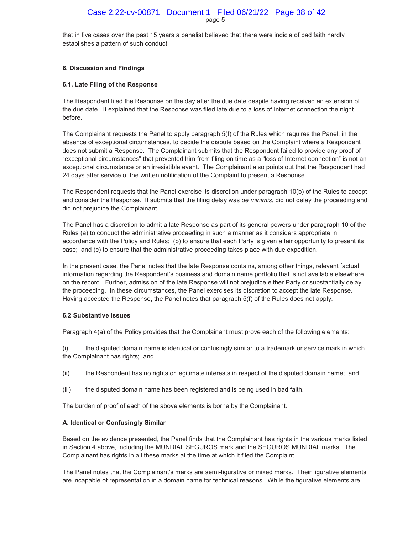## page 5 Case 2:22-cv-00871 Document 1 Filed 06/21/22 Page 38 of 42

that in five cases over the past 15 years a panelist believed that there were indicia of bad faith hardly establishes a pattern of such conduct.

#### **6. Discussion and Findings**

#### **6.1. Late Filing of the Response**

The Respondent filed the Response on the day after the due date despite having received an extension of the due date. It explained that the Response was filed late due to a loss of Internet connection the night before.

The Complainant requests the Panel to apply paragraph 5(f) of the Rules which requires the Panel, in the absence of exceptional circumstances, to decide the dispute based on the Complaint where a Respondent does not submit a Response. The Complainant submits that the Respondent failed to provide any proof of "exceptional circumstances" that prevented him from filing on time as a "loss of Internet connection" is not an exceptional circumstance or an irresistible event. The Complainant also points out that the Respondent had 24 days after service of the written notification of the Complaint to present a Response.

The Respondent requests that the Panel exercise its discretion under paragraph 10(b) of the Rules to accept and consider the Response. It submits that the filing delay was *de minimis*, did not delay the proceeding and did not prejudice the Complainant.

The Panel has a discretion to admit a late Response as part of its general powers under paragraph 10 of the Rules (a) to conduct the administrative proceeding in such a manner as it considers appropriate in accordance with the Policy and Rules; (b) to ensure that each Party is given a fair opportunity to present its case; and (c) to ensure that the administrative proceeding takes place with due expedition.

In the present case, the Panel notes that the late Response contains, among other things, relevant factual information regarding the Respondent's business and domain name portfolio that is not available elsewhere on the record. Further, admission of the late Response will not prejudice either Party or substantially delay the proceeding. In these circumstances, the Panel exercises its discretion to accept the late Response. Having accepted the Response, the Panel notes that paragraph 5(f) of the Rules does not apply.

#### **6.2 Substantive Issues**

Paragraph 4(a) of the Policy provides that the Complainant must prove each of the following elements:

(i) the disputed domain name is identical or confusingly similar to a trademark or service mark in which the Complainant has rights; and

- (ii) the Respondent has no rights or legitimate interests in respect of the disputed domain name; and
- (iii) the disputed domain name has been registered and is being used in bad faith.

The burden of proof of each of the above elements is borne by the Complainant.

#### **A. Identical or Confusingly Similar**

Based on the evidence presented, the Panel finds that the Complainant has rights in the various marks listed in Section 4 above, including the MUNDIAL SEGUROS mark and the SEGUROS MUNDIAL marks. The Complainant has rights in all these marks at the time at which it filed the Complaint.

The Panel notes that the Complainant's marks are semi-figurative or mixed marks. Their figurative elements are incapable of representation in a domain name for technical reasons. While the figurative elements are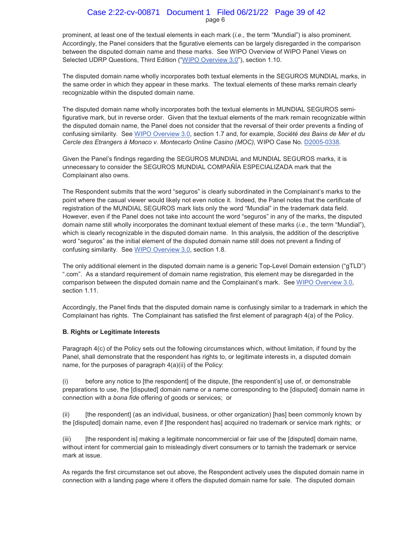#### page 6 Case 2:22-cv-00871 Document 1 Filed 06/21/22 Page 39 of 42

prominent, at least one of the textual elements in each mark (*i.e.,* the term "Mundial") is also prominent. Accordingly, the Panel considers that the figurative elements can be largely disregarded in the comparison between the disputed domain name and these marks. See WIPO Overview of WIPO Panel Views on Selected UDRP Questions, Third Edition ("WIPO Overview 3.0"), section 1.10.

The disputed domain name wholly incorporates both textual elements in the SEGUROS MUNDIAL marks, in the same order in which they appear in these marks. The textual elements of these marks remain clearly recognizable within the disputed domain name.

The disputed domain name wholly incorporates both the textual elements in MUNDIAL SEGUROS semifigurative mark, but in reverse order. Given that the textual elements of the mark remain recognizable within the disputed domain name, the Panel does not consider that the reversal of their order prevents a finding of confusing similarity. See WIPO Overview 3.0, section 1.7 and, for example, *Société des Bains de Mer et du Cercle des Etrangers à Monaco v. Montecarlo Online Casino (MOC),* WIPO Case No. D2005-0338.

Given the Panel's findings regarding the SEGUROS MUNDIAL and MUNDIAL SEGUROS marks, it is unnecessary to consider the SEGUROS MUNDIAL COMPAÑÍA ESPECIALIZADA mark that the Complainant also owns.

The Respondent submits that the word "seguros" is clearly subordinated in the Complainant's marks to the point where the casual viewer would likely not even notice it. Indeed, the Panel notes that the certificate of registration of the MUNDIAL SEGUROS mark lists only the word "Mundial" in the trademark data field. However, even if the Panel does not take into account the word "seguros" in any of the marks, the disputed domain name still wholly incorporates the dominant textual element of these marks (*i.e.,* the term "Mundial"), which is clearly recognizable in the disputed domain name. In this analysis, the addition of the descriptive word "seguros" as the initial element of the disputed domain name still does not prevent a finding of confusing similarity. See WIPO Overview 3.0, section 1.8.

The only additional element in the disputed domain name is a generic Top-Level Domain extension ("gTLD") ".com". As a standard requirement of domain name registration, this element may be disregarded in the comparison between the disputed domain name and the Complainant's mark. See WIPO Overview 3.0, section 1.11.

Accordingly, the Panel finds that the disputed domain name is confusingly similar to a trademark in which the Complainant has rights. The Complainant has satisfied the first element of paragraph 4(a) of the Policy.

#### **B. Rights or Legitimate Interests**

Paragraph 4(c) of the Policy sets out the following circumstances which, without limitation, if found by the Panel, shall demonstrate that the respondent has rights to, or legitimate interests in, a disputed domain name, for the purposes of paragraph 4(a)(ii) of the Policy:

(i) before any notice to [the respondent] of the dispute, [the respondent's] use of, or demonstrable preparations to use, the [disputed] domain name or a name corresponding to the [disputed] domain name in connection with a *bona fide* offering of goods or services; or

(ii) [the respondent] (as an individual, business, or other organization) [has] been commonly known by the [disputed] domain name, even if [the respondent has] acquired no trademark or service mark rights; or

(iii) [the respondent is] making a legitimate noncommercial or fair use of the [disputed] domain name, without intent for commercial gain to misleadingly divert consumers or to tarnish the trademark or service mark at issue.

As regards the first circumstance set out above, the Respondent actively uses the disputed domain name in connection with a landing page where it offers the disputed domain name for sale. The disputed domain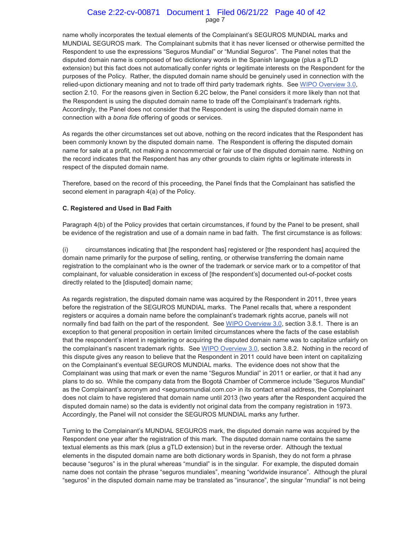#### page 7 Case 2:22-cv-00871 Document 1 Filed 06/21/22 Page 40 of 42

name wholly incorporates the textual elements of the Complainant's SEGUROS MUNDIAL marks and MUNDIAL SEGUROS mark. The Complainant submits that it has never licensed or otherwise permitted the Respondent to use the expressions "Seguros Mundial" or "Mundial Seguros". The Panel notes that the disputed domain name is composed of two dictionary words in the Spanish language (plus a gTLD extension) but this fact does not automatically confer rights or legitimate interests on the Respondent for the purposes of the Policy. Rather, the disputed domain name should be genuinely used in connection with the relied-upon dictionary meaning and not to trade off third party trademark rights. See WIPO Overview 3.0, section 2.10. For the reasons given in Section 6.2C below, the Panel considers it more likely than not that the Respondent is using the disputed domain name to trade off the Complainant's trademark rights. Accordingly, the Panel does not consider that the Respondent is using the disputed domain name in connection with a *bona fide* offering of goods or services.

As regards the other circumstances set out above, nothing on the record indicates that the Respondent has been commonly known by the disputed domain name. The Respondent is offering the disputed domain name for sale at a profit, not making a noncommercial or fair use of the disputed domain name. Nothing on the record indicates that the Respondent has any other grounds to claim rights or legitimate interests in respect of the disputed domain name.

Therefore, based on the record of this proceeding, the Panel finds that the Complainant has satisfied the second element in paragraph 4(a) of the Policy.

#### **C. Registered and Used in Bad Faith**

Paragraph 4(b) of the Policy provides that certain circumstances, if found by the Panel to be present, shall be evidence of the registration and use of a domain name in bad faith. The first circumstance is as follows:

(i) circumstances indicating that [the respondent has] registered or [the respondent has] acquired the domain name primarily for the purpose of selling, renting, or otherwise transferring the domain name registration to the complainant who is the owner of the trademark or service mark or to a competitor of that complainant, for valuable consideration in excess of [the respondent's] documented out-of-pocket costs directly related to the [disputed] domain name;

As regards registration, the disputed domain name was acquired by the Respondent in 2011, three years before the registration of the SEGUROS MUNDIAL marks. The Panel recalls that, where a respondent registers or acquires a domain name before the complainant's trademark rights accrue, panels will not normally find bad faith on the part of the respondent. See WIPO Overview 3.0, section 3.8.1. There is an exception to that general proposition in certain limited circumstances where the facts of the case establish that the respondent's intent in registering or acquiring the disputed domain name was to capitalize unfairly on the complainant's nascent trademark rights. See WIPO Overview 3.0, section 3.8.2. Nothing in the record of this dispute gives any reason to believe that the Respondent in 2011 could have been intent on capitalizing on the Complainant's eventual SEGUROS MUNDIAL marks. The evidence does not show that the Complainant was using that mark or even the name "Seguros Mundial" in 2011 or earlier, or that it had any plans to do so. While the company data from the Bogotá Chamber of Commerce include "Seguros Mundial" as the Complainant's acronym and <segurosmundial.com.co> in its contact email address, the Complainant does not claim to have registered that domain name until 2013 (two years after the Respondent acquired the disputed domain name) so the data is evidently not original data from the company registration in 1973. Accordingly, the Panel will not consider the SEGUROS MUNDIAL marks any further.

Turning to the Complainant's MUNDIAL SEGUROS mark, the disputed domain name was acquired by the Respondent one year after the registration of this mark. The disputed domain name contains the same textual elements as this mark (plus a gTLD extension) but in the reverse order. Although the textual elements in the disputed domain name are both dictionary words in Spanish, they do not form a phrase because "seguros" is in the plural whereas "mundial" is in the singular. For example, the disputed domain name does not contain the phrase "seguros mundiales", meaning "worldwide insurance". Although the plural "seguros" in the disputed domain name may be translated as "insurance", the singular "mundial" is not being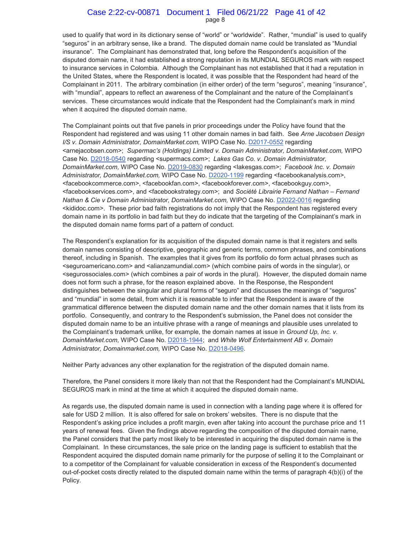#### page 8 Case 2:22-cv-00871 Document 1 Filed 06/21/22 Page 41 of 42

used to qualify that word in its dictionary sense of "world" or "worldwide". Rather, "mundial" is used to qualify "seguros" in an arbitrary sense, like a brand. The disputed domain name could be translated as "Mundial insurance". The Complainant has demonstrated that, long before the Respondent's acquisition of the disputed domain name, it had established a strong reputation in its MUNDIAL SEGUROS mark with respect to insurance services in Colombia. Although the Complainant has not established that it had a reputation in the United States, where the Respondent is located, it was possible that the Respondent had heard of the Complainant in 2011. The arbitrary combination (in either order) of the term "seguros", meaning "insurance", with "mundial", appears to reflect an awareness of the Complainant and the nature of the Complainant's services. These circumstances would indicate that the Respondent had the Complainant's mark in mind when it acquired the disputed domain name.

The Complainant points out that five panels in prior proceedings under the Policy have found that the Respondent had registered and was using 11 other domain names in bad faith. See *Arne Jacobsen Design I/S v. Domain Administrator, DomainMarket.com,* WIPO Case No. D2017-0552 regarding <arnejacobsen.com>; *Supermac's (Holdings) Limited v. Domain Administrator, DomainMarket.com,* WIPO Case No. D2018-0540 regarding <supermacs.com>; *Lakes Gas Co. v. Domain Administrator, DomainMarket.com,* WIPO Case No. D2019-0830 regarding <lakesgas.com>; *Facebook Inc. v. Domain Administrator, DomainMarket.com,* WIPO Case No. D2020-1199 regarding <facebookanalysis.com>, <facebookcommerce.com>, <facebookfan.com>, <facebookforever.com>, <facebookguy.com>, <facebookservices.com>, and <facebookstrategy.com>; and *Société Librairie Fernand Nathan – Fernand Nathan & Cie v Domain Administrator, DomainMarket.com,* WIPO Case No. D2022-0016 regarding <kididoc.com>. These prior bad faith registrations do not imply that the Respondent has registered every domain name in its portfolio in bad faith but they do indicate that the targeting of the Complainant's mark in the disputed domain name forms part of a pattern of conduct.

The Respondent's explanation for its acquisition of the disputed domain name is that it registers and sells domain names consisting of descriptive, geographic and generic terms, common phrases, and combinations thereof, including in Spanish. The examples that it gives from its portfolio do form actual phrases such as <seguroamericano.com> and <alianzamundial.com> (which combine pairs of words in the singular), or <segurossociales.com> (which combines a pair of words in the plural). However, the disputed domain name does not form such a phrase, for the reason explained above. In the Response, the Respondent distinguishes between the singular and plural forms of "seguro" and discusses the meanings of "seguros" and "mundial" in some detail, from which it is reasonable to infer that the Respondent is aware of the grammatical difference between the disputed domain name and the other domain names that it lists from its portfolio. Consequently, and contrary to the Respondent's submission, the Panel does not consider the disputed domain name to be an intuitive phrase with a range of meanings and plausible uses unrelated to the Complainant's trademark unlike, for example, the domain names at issue in *Ground Up, Inc. v. DomainMarket.com,* WIPO Case No. D2018-1944; and *White Wolf Entertainment AB v. Domain Administrator, Domainmarket.com,* WIPO Case No. D2018-0496.

Neither Party advances any other explanation for the registration of the disputed domain name.

Therefore, the Panel considers it more likely than not that the Respondent had the Complainant's MUNDIAL SEGUROS mark in mind at the time at which it acquired the disputed domain name.

As regards use, the disputed domain name is used in connection with a landing page where it is offered for sale for USD 2 million. It is also offered for sale on brokers' websites. There is no dispute that the Respondent's asking price includes a profit margin, even after taking into account the purchase price and 11 years of renewal fees. Given the findings above regarding the composition of the disputed domain name, the Panel considers that the party most likely to be interested in acquiring the disputed domain name is the Complainant. In these circumstances, the sale price on the landing page is sufficient to establish that the Respondent acquired the disputed domain name primarily for the purpose of selling it to the Complainant or to a competitor of the Complainant for valuable consideration in excess of the Respondent's documented out-of-pocket costs directly related to the disputed domain name within the terms of paragraph 4(b)(i) of the Policy.